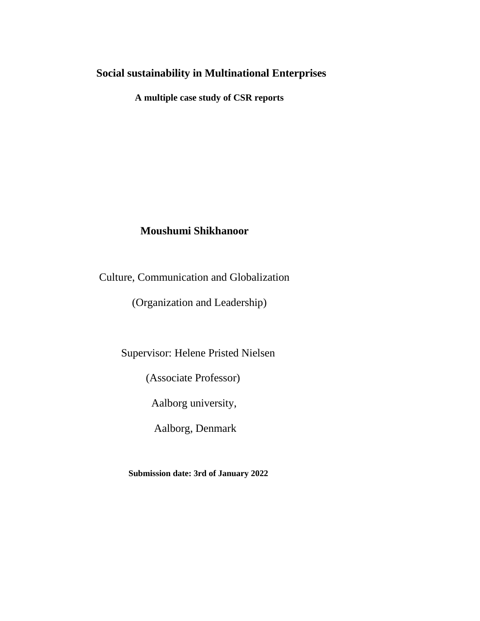## **Social sustainability in Multinational Enterprises**

 **A multiple case study of CSR reports**

## **Moushumi Shikhanoor**

Culture, Communication and Globalization

(Organization and Leadership)

Supervisor: Helene Pristed Nielsen

(Associate Professor)

Aalborg university,

Aalborg, Denmark

 **Submission date: 3rd of January 2022**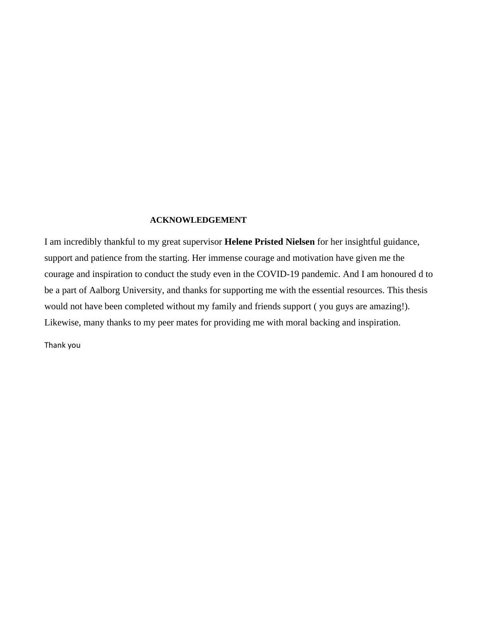#### **ACKNOWLEDGEMENT**

I am incredibly thankful to my great supervisor **Helene Pristed Nielsen** for her insightful guidance, support and patience from the starting. Her immense courage and motivation have given me the courage and inspiration to conduct the study even in the COVID-19 pandemic. And I am honoured d to be a part of Aalborg University, and thanks for supporting me with the essential resources. This thesis would not have been completed without my family and friends support ( you guys are amazing!). Likewise, many thanks to my peer mates for providing me with moral backing and inspiration.

Thank you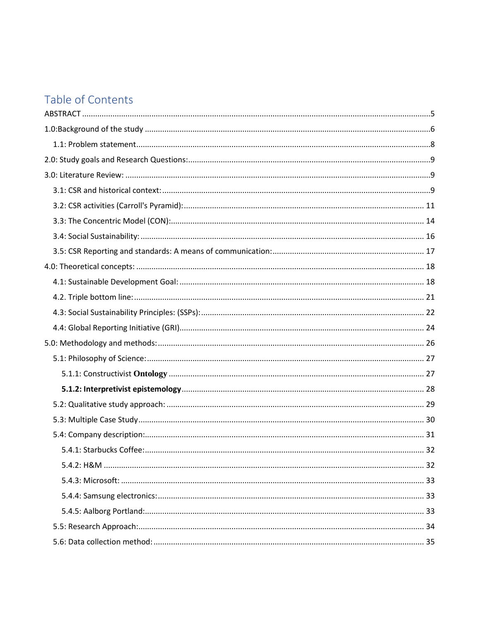# Table of Contents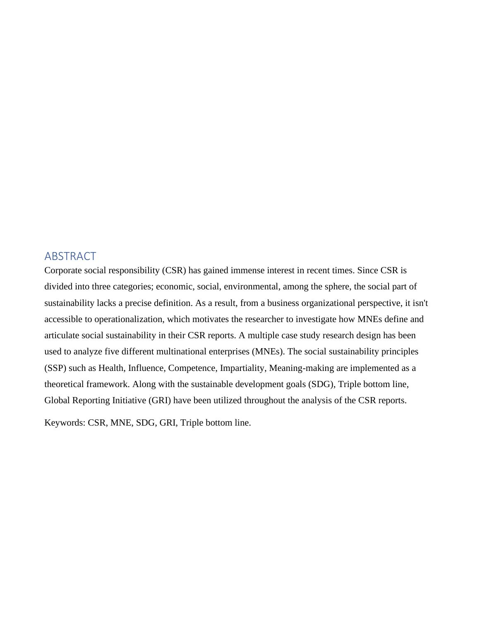## <span id="page-4-0"></span>ABSTRACT

Corporate social responsibility (CSR) has gained immense interest in recent times. Since CSR is divided into three categories; economic, social, environmental, among the sphere, the social part of sustainability lacks a precise definition. As a result, from a business organizational perspective, it isn't accessible to operationalization, which motivates the researcher to investigate how MNEs define and articulate social sustainability in their CSR reports. A multiple case study research design has been used to analyze five different multinational enterprises (MNEs). The social sustainability principles (SSP) such as Health, Influence, Competence, Impartiality, Meaning-making are implemented as a theoretical framework. Along with the sustainable development goals (SDG), Triple bottom line, Global Reporting Initiative (GRI) have been utilized throughout the analysis of the CSR reports.

Keywords: CSR, MNE, SDG, GRI, Triple bottom line.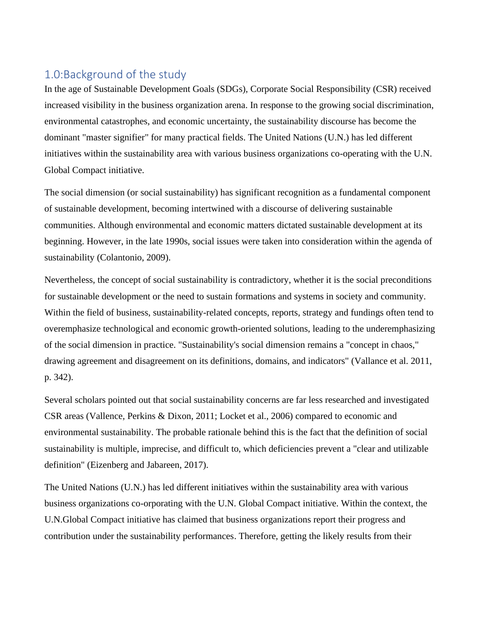# <span id="page-5-0"></span>1.0:Background of the study

In the age of Sustainable Development Goals (SDGs), Corporate Social Responsibility (CSR) received increased visibility in the business organization arena. In response to the growing social discrimination, environmental catastrophes, and economic uncertainty, the sustainability discourse has become the dominant "master signifier" for many practical fields. The United Nations (U.N.) has led different initiatives within the sustainability area with various business organizations co-operating with the U.N. Global Compact initiative.

The social dimension (or social sustainability) has significant recognition as a fundamental component of sustainable development, becoming intertwined with a discourse of delivering sustainable communities. Although environmental and economic matters dictated sustainable development at its beginning. However, in the late 1990s, social issues were taken into consideration within the agenda of sustainability (Colantonio, 2009).

Nevertheless, the concept of social sustainability is contradictory, whether it is the social preconditions for sustainable development or the need to sustain formations and systems in society and community. Within the field of business, sustainability-related concepts, reports, strategy and fundings often tend to overemphasize technological and economic growth-oriented solutions, leading to the underemphasizing of the social dimension in practice. "Sustainability's social dimension remains a "concept in chaos," drawing agreement and disagreement on its definitions, domains, and indicators" (Vallance et al. 2011, p. 342).

Several scholars pointed out that social sustainability concerns are far less researched and investigated CSR areas (Vallence, Perkins & Dixon, 2011; Locket et al., 2006) compared to economic and environmental sustainability. The probable rationale behind this is the fact that the definition of social sustainability is multiple, imprecise, and difficult to, which deficiencies prevent a "clear and utilizable definition" (Eizenberg and Jabareen, 2017).

The United Nations (U.N.) has led different initiatives within the sustainability area with various business organizations co-orporating with the U.N. Global Compact initiative. Within the context, the U.N.Global Compact initiative has claimed that business organizations report their progress and contribution under the sustainability performances. Therefore, getting the likely results from their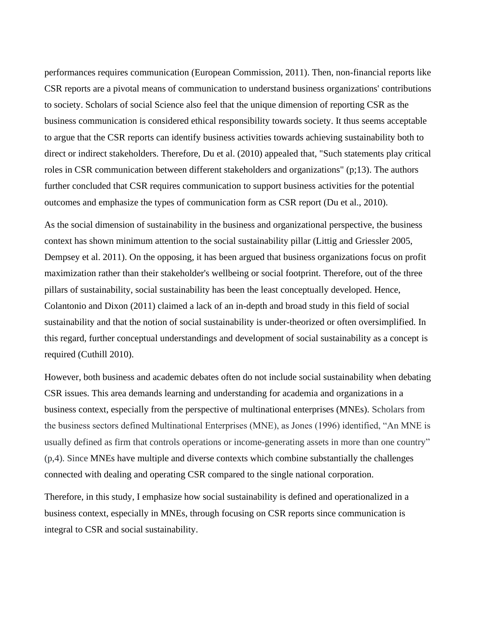performances requires communication (European Commission, 2011). Then, non-financial reports like CSR reports are a pivotal means of communication to understand business organizations' contributions to society. Scholars of social Science also feel that the unique dimension of reporting CSR as the business communication is considered ethical responsibility towards society. It thus seems acceptable to argue that the CSR reports can identify business activities towards achieving sustainability both to direct or indirect stakeholders. Therefore, Du et al. (2010) appealed that, "Such statements play critical roles in CSR communication between different stakeholders and organizations" (p;13). The authors further concluded that CSR requires communication to support business activities for the potential outcomes and emphasize the types of communication form as CSR report (Du et al., 2010).

As the social dimension of sustainability in the business and organizational perspective, the business context has shown minimum attention to the social sustainability pillar (Littig and Griessler 2005, Dempsey et al. 2011). On the opposing, it has been argued that business organizations focus on profit maximization rather than their stakeholder's wellbeing or social footprint. Therefore, out of the three pillars of sustainability, social sustainability has been the least conceptually developed. Hence, Colantonio and Dixon (2011) claimed a lack of an in-depth and broad study in this field of social sustainability and that the notion of social sustainability is under-theorized or often oversimplified. In this regard, further conceptual understandings and development of social sustainability as a concept is required (Cuthill 2010).

However, both business and academic debates often do not include social sustainability when debating CSR issues. This area demands learning and understanding for academia and organizations in a business context, especially from the perspective of multinational enterprises (MNEs). Scholars from the business sectors defined Multinational Enterprises (MNE), as Jones (1996) identified, "An MNE is usually defined as firm that controls operations or income-generating assets in more than one country" (p,4). Since MNEs have multiple and diverse contexts which combine substantially the challenges connected with dealing and operating CSR compared to the single national corporation.

Therefore, in this study, I emphasize how social sustainability is defined and operationalized in a business context, especially in MNEs, through focusing on CSR reports since communication is integral to CSR and social sustainability.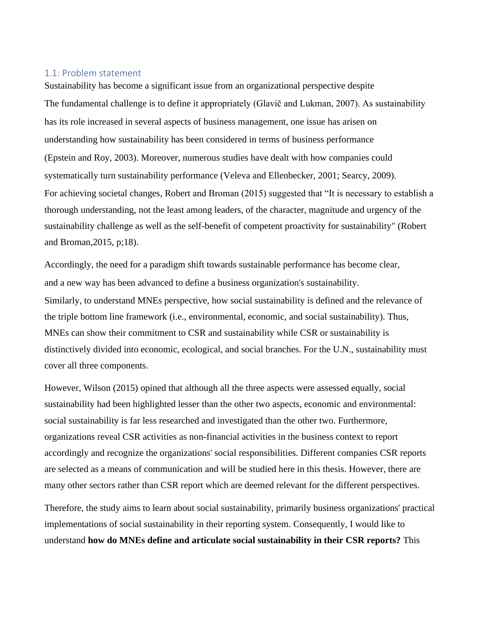#### <span id="page-7-0"></span>1.1: Problem statement

Sustainability has become a significant issue from an organizational perspective despite The fundamental challenge is to define it appropriately (Glavič and Lukman, 2007). As sustainability has its role increased in several aspects of business management, one issue has arisen on understanding how sustainability has been considered in terms of business performance (Epstein and Roy, 2003). Moreover, numerous studies have dealt with how companies could systematically turn sustainability performance (Veleva and Ellenbecker, 2001; Searcy, 2009). For achieving societal changes, Robert and Broman (2015) suggested that "It is necessary to establish a thorough understanding, not the least among leaders, of the character, magnitude and urgency of the sustainability challenge as well as the self-benefit of competent proactivity for sustainability" (Robert and Broman,2015, p;18).

Accordingly, the need for a paradigm shift towards sustainable performance has become clear, and a new way has been advanced to define a business organization's sustainability. Similarly, to understand MNEs perspective, how social sustainability is defined and the relevance of the triple bottom line framework (i.e., environmental, economic, and social sustainability). Thus, MNEs can show their commitment to CSR and sustainability while CSR or sustainability is distinctively divided into economic, ecological, and social branches. For the U.N., sustainability must cover all three components.

However, Wilson (2015) opined that although all the three aspects were assessed equally, social sustainability had been highlighted lesser than the other two aspects, economic and environmental: social sustainability is far less researched and investigated than the other two. Furthermore, organizations reveal CSR activities as non-financial activities in the business context to report accordingly and recognize the organizations' social responsibilities. Different companies CSR reports are selected as a means of communication and will be studied here in this thesis. However, there are many other sectors rather than CSR report which are deemed relevant for the different perspectives.

Therefore, the study aims to learn about social sustainability, primarily business organizations' practical implementations of social sustainability in their reporting system. Consequently, I would like to understand **how do MNEs define and articulate social sustainability in their CSR reports?** This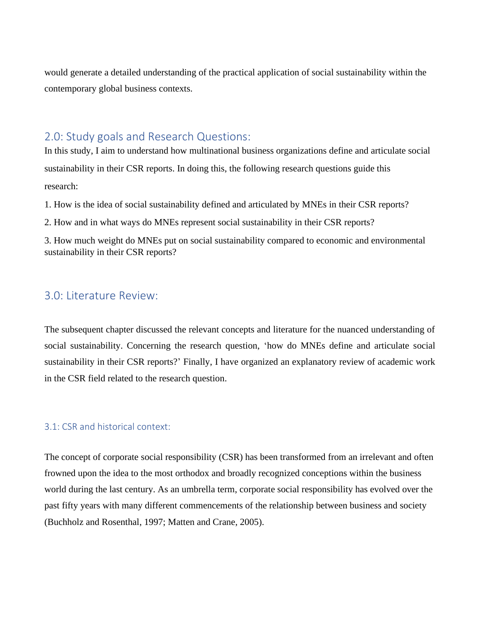would generate a detailed understanding of the practical application of social sustainability within the contemporary global business contexts.

## <span id="page-8-0"></span>2.0: Study goals and Research Questions:

In this study, I aim to understand how multinational business organizations define and articulate social sustainability in their CSR reports. In doing this, the following research questions guide this research:

1. How is the idea of social sustainability defined and articulated by MNEs in their CSR reports?

2. How and in what ways do MNEs represent social sustainability in their CSR reports?

3. How much weight do MNEs put on social sustainability compared to economic and environmental sustainability in their CSR reports?

## <span id="page-8-1"></span>3.0: Literature Review:

The subsequent chapter discussed the relevant concepts and literature for the nuanced understanding of social sustainability. Concerning the research question, 'how do MNEs define and articulate social sustainability in their CSR reports?' Finally, I have organized an explanatory review of academic work in the CSR field related to the research question.

#### <span id="page-8-2"></span>3.1: CSR and historical context:

The concept of corporate social responsibility (CSR) has been transformed from an irrelevant and often frowned upon the idea to the most orthodox and broadly recognized conceptions within the business world during the last century. As an umbrella term, corporate social responsibility has evolved over the past fifty years with many different commencements of the relationship between business and society (Buchholz and Rosenthal, 1997; Matten and Crane, 2005).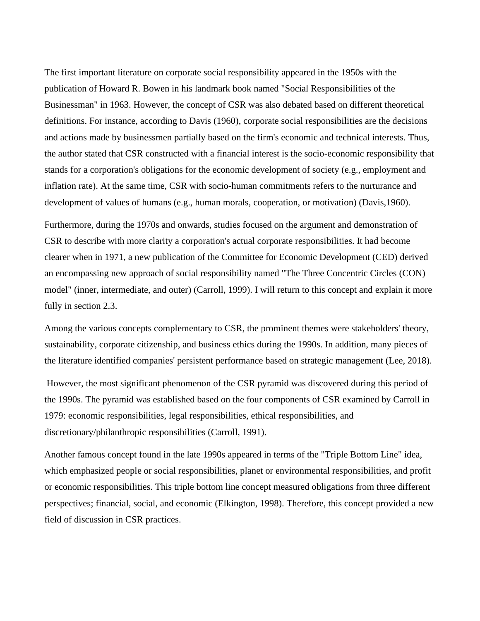The first important literature on corporate social responsibility appeared in the 1950s with the publication of Howard R. Bowen in his landmark book named "Social Responsibilities of the Businessman" in 1963. However, the concept of CSR was also debated based on different theoretical definitions. For instance, according to Davis (1960), corporate social responsibilities are the decisions and actions made by businessmen partially based on the firm's economic and technical interests. Thus, the author stated that CSR constructed with a financial interest is the socio-economic responsibility that stands for a corporation's obligations for the economic development of society (e.g., employment and inflation rate). At the same time, CSR with socio-human commitments refers to the nurturance and development of values of humans (e.g., human morals, cooperation, or motivation) (Davis, 1960).

Furthermore, during the 1970s and onwards, studies focused on the argument and demonstration of CSR to describe with more clarity a corporation's actual corporate responsibilities. It had become clearer when in 1971, a new publication of the Committee for Economic Development (CED) derived an encompassing new approach of social responsibility named "The Three Concentric Circles (CON) model" (inner, intermediate, and outer) (Carroll, 1999). I will return to this concept and explain it more fully in section 2.3.

Among the various concepts complementary to CSR, the prominent themes were stakeholders' theory, sustainability, corporate citizenship, and business ethics during the 1990s. In addition, many pieces of the literature identified companies' persistent performance based on strategic management (Lee, 2018).

However, the most significant phenomenon of the CSR pyramid was discovered during this period of the 1990s. The pyramid was established based on the four components of CSR examined by Carroll in 1979: economic responsibilities, legal responsibilities, ethical responsibilities, and discretionary/philanthropic responsibilities (Carroll, 1991).

Another famous concept found in the late 1990s appeared in terms of the "Triple Bottom Line" idea, which emphasized people or social responsibilities, planet or environmental responsibilities, and profit or economic responsibilities. This triple bottom line concept measured obligations from three different perspectives; financial, social, and economic (Elkington, 1998). Therefore, this concept provided a new field of discussion in CSR practices.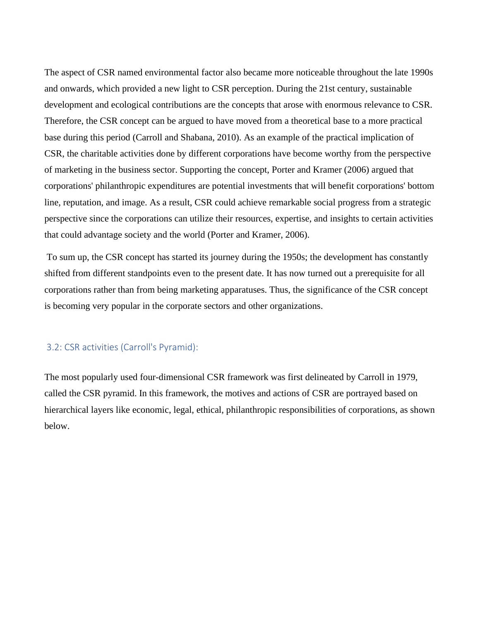The aspect of CSR named environmental factor also became more noticeable throughout the late 1990s and onwards, which provided a new light to CSR perception. During the 21st century, sustainable development and ecological contributions are the concepts that arose with enormous relevance to CSR. Therefore, the CSR concept can be argued to have moved from a theoretical base to a more practical base during this period (Carroll and Shabana, 2010). As an example of the practical implication of CSR, the charitable activities done by different corporations have become worthy from the perspective of marketing in the business sector. Supporting the concept, Porter and Kramer (2006) argued that corporations' philanthropic expenditures are potential investments that will benefit corporations' bottom line, reputation, and image. As a result, CSR could achieve remarkable social progress from a strategic perspective since the corporations can utilize their resources, expertise, and insights to certain activities that could advantage society and the world (Porter and Kramer, 2006).

To sum up, the CSR concept has started its journey during the 1950s; the development has constantly shifted from different standpoints even to the present date. It has now turned out a prerequisite for all corporations rather than from being marketing apparatuses. Thus, the significance of the CSR concept is becoming very popular in the corporate sectors and other organizations.

#### <span id="page-10-0"></span>3.2: CSR activities (Carroll's Pyramid):

The most popularly used four-dimensional CSR framework was first delineated by Carroll in 1979, called the CSR pyramid. In this framework, the motives and actions of CSR are portrayed based on hierarchical layers like economic, legal, ethical, philanthropic responsibilities of corporations, as shown below.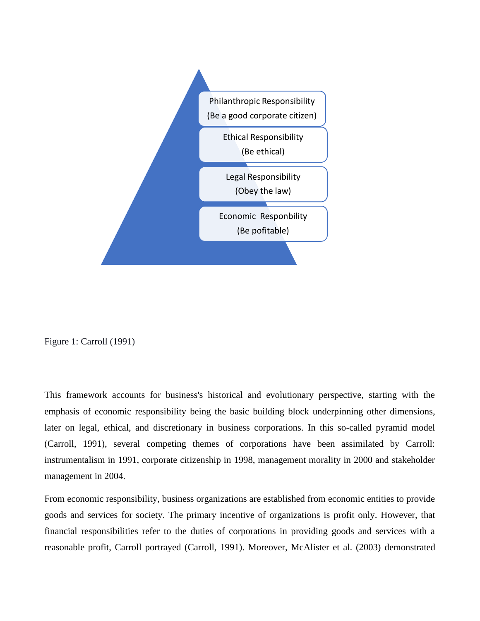

Figure 1: Carroll (1991)

This framework accounts for business's historical and evolutionary perspective, starting with the emphasis of economic responsibility being the basic building block underpinning other dimensions, later on legal, ethical, and discretionary in business corporations. In this so-called pyramid model (Carroll, 1991), several competing themes of corporations have been assimilated by Carroll: instrumentalism in 1991, corporate citizenship in 1998, management morality in 2000 and stakeholder management in 2004.

From economic responsibility, business organizations are established from economic entities to provide goods and services for society. The primary incentive of organizations is profit only. However, that financial responsibilities refer to the duties of corporations in providing goods and services with a reasonable profit, Carroll portrayed (Carroll, 1991). Moreover, McAlister et al. (2003) demonstrated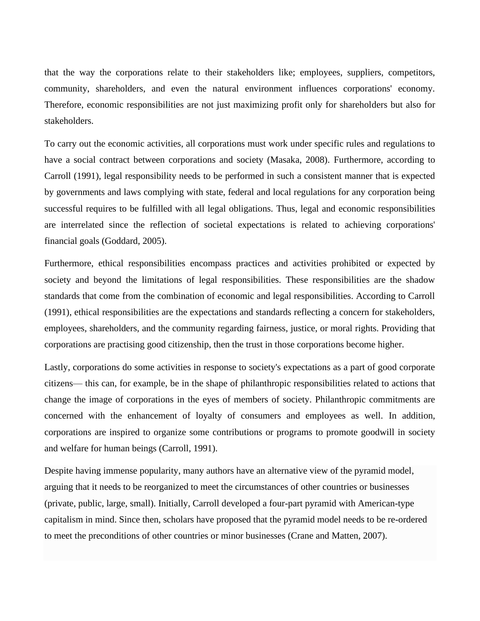that the way the corporations relate to their stakeholders like; employees, suppliers, competitors, community, shareholders, and even the natural environment influences corporations' economy. Therefore, economic responsibilities are not just maximizing profit only for shareholders but also for stakeholders.

To carry out the economic activities, all corporations must work under specific rules and regulations to have a social contract between corporations and society (Masaka, 2008). Furthermore, according to Carroll (1991), legal responsibility needs to be performed in such a consistent manner that is expected by governments and laws complying with state, federal and local regulations for any corporation being successful requires to be fulfilled with all legal obligations. Thus, legal and economic responsibilities are interrelated since the reflection of societal expectations is related to achieving corporations' financial goals (Goddard, 2005).

Furthermore, ethical responsibilities encompass practices and activities prohibited or expected by society and beyond the limitations of legal responsibilities. These responsibilities are the shadow standards that come from the combination of economic and legal responsibilities. According to Carroll (1991), ethical responsibilities are the expectations and standards reflecting a concern for stakeholders, employees, shareholders, and the community regarding fairness, justice, or moral rights. Providing that corporations are practising good citizenship, then the trust in those corporations become higher.

Lastly, corporations do some activities in response to society's expectations as a part of good corporate citizens— this can, for example, be in the shape of philanthropic responsibilities related to actions that change the image of corporations in the eyes of members of society. Philanthropic commitments are concerned with the enhancement of loyalty of consumers and employees as well. In addition, corporations are inspired to organize some contributions or programs to promote goodwill in society and welfare for human beings (Carroll, 1991).

Despite having immense popularity, many authors have an alternative view of the pyramid model, arguing that it needs to be reorganized to meet the circumstances of other countries or businesses (private, public, large, small). Initially, Carroll developed a four-part pyramid with American-type capitalism in mind. Since then, scholars have proposed that the pyramid model needs to be re-ordered to meet the preconditions of other countries or minor businesses (Crane and Matten, 2007).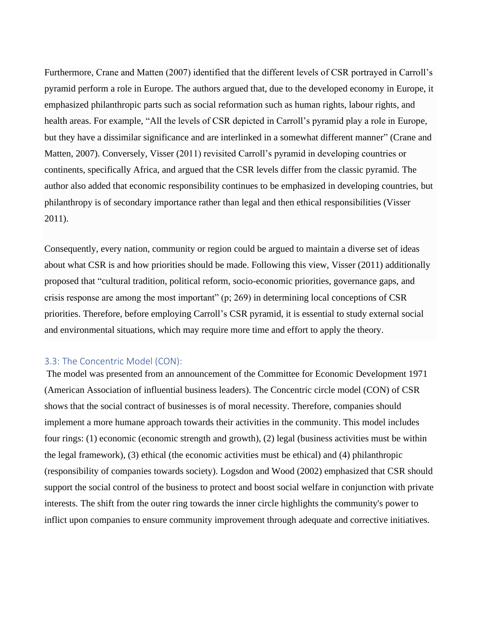Furthermore, Crane and Matten (2007) identified that the different levels of CSR portrayed in Carroll's pyramid perform a role in Europe. The authors argued that, due to the developed economy in Europe, it emphasized philanthropic parts such as social reformation such as human rights, labour rights, and health areas. For example, "All the levels of CSR depicted in Carroll's pyramid play a role in Europe, but they have a dissimilar significance and are interlinked in a somewhat different manner" (Crane and Matten, 2007). Conversely, Visser (2011) revisited Carroll's pyramid in developing countries or continents, specifically Africa, and argued that the CSR levels differ from the classic pyramid. The author also added that economic responsibility continues to be emphasized in developing countries, but philanthropy is of secondary importance rather than legal and then ethical responsibilities (Visser 2011).

Consequently, every nation, community or region could be argued to maintain a diverse set of ideas about what CSR is and how priorities should be made. Following this view, Visser (2011) additionally proposed that "cultural tradition, political reform, socio-economic priorities, governance gaps, and crisis response are among the most important" (p; 269) in determining local conceptions of CSR priorities. Therefore, before employing Carroll's CSR pyramid, it is essential to study external social and environmental situations, which may require more time and effort to apply the theory.

#### <span id="page-13-0"></span>3.3: The Concentric Model (CON):

The model was presented from an announcement of the Committee for Economic Development 1971 (American Association of influential business leaders). The Concentric circle model (CON) of CSR shows that the social contract of businesses is of moral necessity. Therefore, companies should implement a more humane approach towards their activities in the community. This model includes four rings: (1) economic (economic strength and growth), (2) legal (business activities must be within the legal framework), (3) ethical (the economic activities must be ethical) and (4) philanthropic (responsibility of companies towards society). Logsdon and Wood (2002) emphasized that CSR should support the social control of the business to protect and boost social welfare in conjunction with private interests. The shift from the outer ring towards the inner circle highlights the community's power to inflict upon companies to ensure community improvement through adequate and corrective initiatives.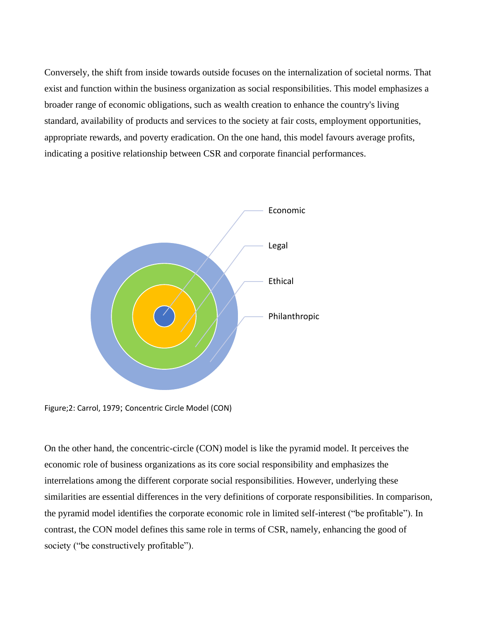Conversely, the shift from inside towards outside focuses on the internalization of societal norms. That exist and function within the business organization as social responsibilities. This model emphasizes a broader range of economic obligations, such as wealth creation to enhance the country's living standard, availability of products and services to the society at fair costs, employment opportunities, appropriate rewards, and poverty eradication. On the one hand, this model favours average profits, indicating a positive relationship between CSR and corporate financial performances.



Figure;2: Carrol, 1979; Concentric Circle Model (CON)

On the other hand, the concentric-circle (CON) model is like the pyramid model. It perceives the economic role of business organizations as its core social responsibility and emphasizes the interrelations among the different corporate social responsibilities. However, underlying these similarities are essential differences in the very definitions of corporate responsibilities. In comparison, the pyramid model identifies the corporate economic role in limited self-interest ("be profitable"). In contrast, the CON model defines this same role in terms of CSR, namely, enhancing the good of society ("be constructively profitable").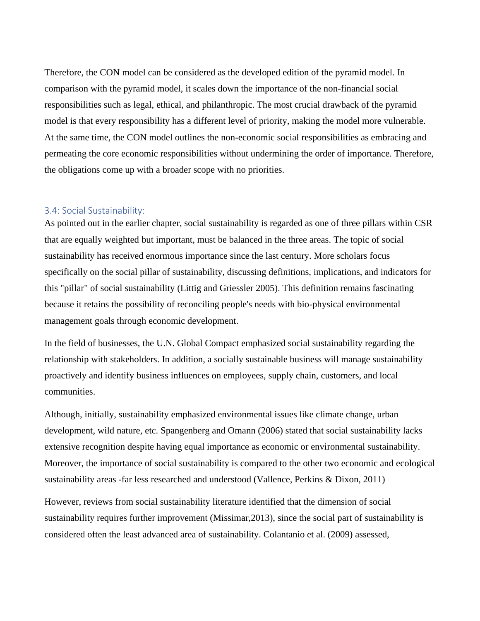Therefore, the CON model can be considered as the developed edition of the pyramid model. In comparison with the pyramid model, it scales down the importance of the non-financial social responsibilities such as legal, ethical, and philanthropic. The most crucial drawback of the pyramid model is that every responsibility has a different level of priority, making the model more vulnerable. At the same time, the CON model outlines the non-economic social responsibilities as embracing and permeating the core economic responsibilities without undermining the order of importance. Therefore, the obligations come up with a broader scope with no priorities.

#### <span id="page-15-0"></span>3.4: Social Sustainability:

As pointed out in the earlier chapter, social sustainability is regarded as one of three pillars within CSR that are equally weighted but important, must be balanced in the three areas. The topic of social sustainability has received enormous importance since the last century. More scholars focus specifically on the social pillar of sustainability, discussing definitions, implications, and indicators for this "pillar" of social sustainability (Littig and Griessler 2005). This definition remains fascinating because it retains the possibility of reconciling people's needs with bio-physical environmental management goals through economic development.

In the field of businesses, the U.N. Global Compact emphasized social sustainability regarding the relationship with stakeholders. In addition, a socially sustainable business will manage sustainability proactively and identify business influences on employees, supply chain, customers, and local communities.

Although, initially, sustainability emphasized environmental issues like climate change, urban development, wild nature, etc. Spangenberg and Omann (2006) stated that social sustainability lacks extensive recognition despite having equal importance as economic or environmental sustainability. Moreover, the importance of social sustainability is compared to the other two economic and ecological sustainability areas -far less researched and understood (Vallence, Perkins & Dixon, 2011)

However, reviews from social sustainability literature identified that the dimension of social sustainability requires further improvement (Missimar,2013), since the social part of sustainability is considered often the least advanced area of sustainability. Colantanio et al. (2009) assessed,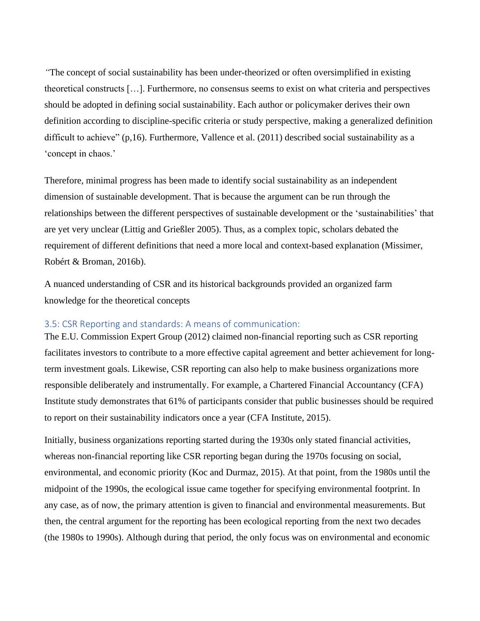*"*The concept of social sustainability has been under-theorized or often oversimplified in existing theoretical constructs […]. Furthermore, no consensus seems to exist on what criteria and perspectives should be adopted in defining social sustainability. Each author or policymaker derives their own definition according to discipline-specific criteria or study perspective, making a generalized definition difficult to achieve" (p,16). Furthermore, Vallence et al. (2011) described social sustainability as a 'concept in chaos.'

Therefore, minimal progress has been made to identify social sustainability as an independent dimension of sustainable development. That is because the argument can be run through the relationships between the different perspectives of sustainable development or the 'sustainabilities' that are yet very unclear (Littig and Grießler 2005). Thus, as a complex topic, scholars debated the requirement of different definitions that need a more local and context-based explanation (Missimer, Robért & Broman, 2016b).

A nuanced understanding of CSR and its historical backgrounds provided an organized farm knowledge for the theoretical concepts

#### <span id="page-16-0"></span>3.5: CSR Reporting and standards: A means of communication:

The E.U. Commission Expert Group (2012) claimed non-financial reporting such as CSR reporting facilitates investors to contribute to a more effective capital agreement and better achievement for longterm investment goals. Likewise, CSR reporting can also help to make business organizations more responsible deliberately and instrumentally. For example, a Chartered Financial Accountancy (CFA) Institute study demonstrates that 61% of participants consider that public businesses should be required to report on their sustainability indicators once a year (CFA Institute, 2015).

Initially, business organizations reporting started during the 1930s only stated financial activities, whereas non-financial reporting like CSR reporting began during the 1970s focusing on social, environmental, and economic priority (Koc and Durmaz, 2015). At that point, from the 1980s until the midpoint of the 1990s, the ecological issue came together for specifying environmental footprint. In any case, as of now, the primary attention is given to financial and environmental measurements. But then, the central argument for the reporting has been ecological reporting from the next two decades (the 1980s to 1990s). Although during that period, the only focus was on environmental and economic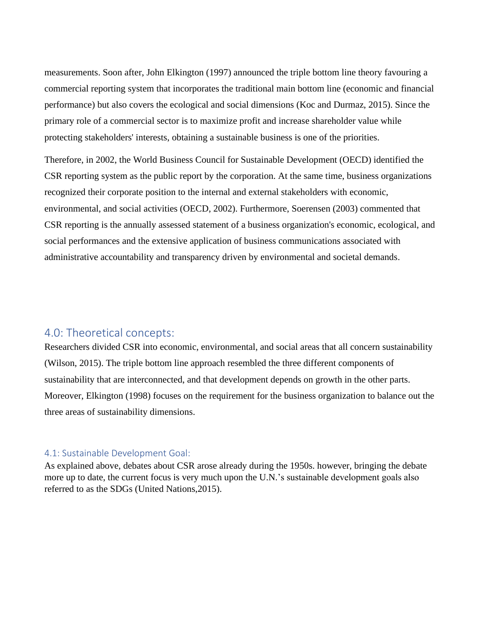measurements. Soon after, John Elkington (1997) announced the triple bottom line theory favouring a commercial reporting system that incorporates the traditional main bottom line (economic and financial performance) but also covers the ecological and social dimensions (Koc and Durmaz, 2015). Since the primary role of a commercial sector is to maximize profit and increase shareholder value while protecting stakeholders' interests, obtaining a sustainable business is one of the priorities.

Therefore, in 2002, the World Business Council for Sustainable Development (OECD) identified the CSR reporting system as the public report by the corporation. At the same time, business organizations recognized their corporate position to the internal and external stakeholders with economic, environmental, and social activities (OECD, 2002). Furthermore, Soerensen (2003) commented that CSR reporting is the annually assessed statement of a business organization's economic, ecological, and social performances and the extensive application of business communications associated with administrative accountability and transparency driven by environmental and societal demands.

## <span id="page-17-0"></span>4.0: Theoretical concepts:

Researchers divided CSR into economic, environmental, and social areas that all concern sustainability (Wilson, 2015). The triple bottom line approach resembled the three different components of sustainability that are interconnected, and that development depends on growth in the other parts. Moreover, Elkington (1998) focuses on the requirement for the business organization to balance out the three areas of sustainability dimensions.

#### <span id="page-17-1"></span>4.1: Sustainable Development Goal:

As explained above, debates about CSR arose already during the 1950s. however, bringing the debate more up to date, the current focus is very much upon the U.N.'s sustainable development goals also referred to as the SDGs (United Nations,2015).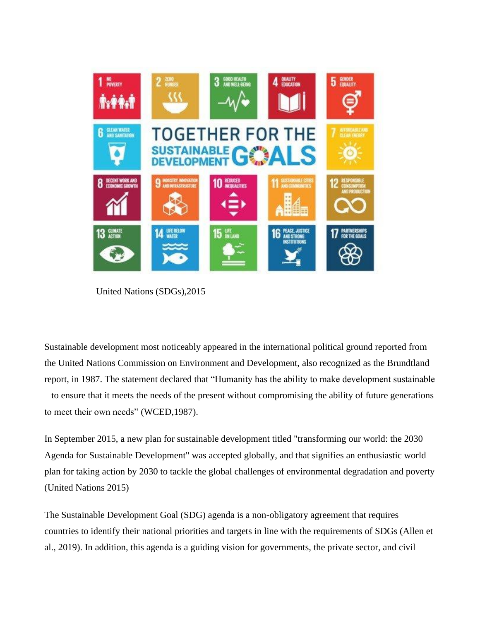

United Nations (SDGs),2015

Sustainable development most noticeably appeared in the international political ground reported from the United Nations Commission on Environment and Development, also recognized as the Brundtland report, in 1987. The statement declared that "Humanity has the ability to make development sustainable – to ensure that it meets the needs of the present without compromising the ability of future generations to meet their own needs" (WCED,1987).

In September 2015, a new plan for sustainable development titled "transforming our world: the 2030 Agenda for Sustainable Development" was accepted globally, and that signifies an enthusiastic world plan for taking action by 2030 to tackle the global challenges of environmental degradation and poverty (United Nations 2015)

The Sustainable Development Goal (SDG) agenda is a non-obligatory agreement that requires countries to identify their national priorities and targets in line with the requirements of SDGs (Allen et al., 2019). In addition, this agenda is a guiding vision for governments, the private sector, and civil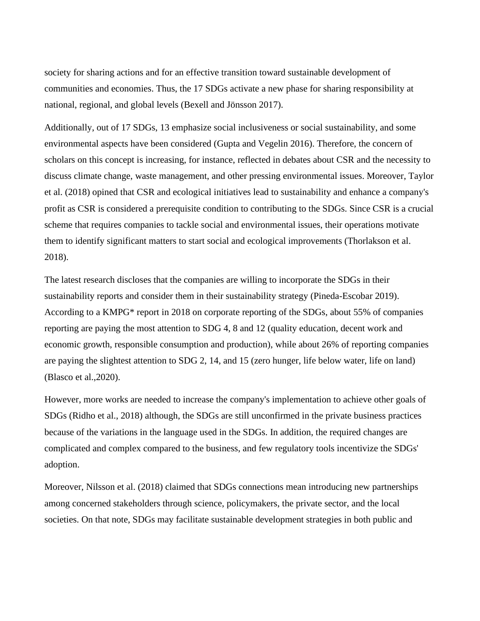society for sharing actions and for an effective transition toward sustainable development of communities and economies. Thus, the 17 SDGs activate a new phase for sharing responsibility at national, regional, and global levels (Bexell and Jönsson 2017).

Additionally, out of 17 SDGs, 13 emphasize social inclusiveness or social sustainability, and some environmental aspects have been considered (Gupta and Vegelin 2016). Therefore, the concern of scholars on this concept is increasing, for instance, reflected in debates about CSR and the necessity to discuss climate change, waste management, and other pressing environmental issues. Moreover, Taylor et al. (2018) opined that CSR and ecological initiatives lead to sustainability and enhance a company's profit as CSR is considered a prerequisite condition to contributing to the SDGs. Since CSR is a crucial scheme that requires companies to tackle social and environmental issues, their operations motivate them to identify significant matters to start social and ecological improvements (Thorlakson et al. 2018).

The latest research discloses that the companies are willing to incorporate the SDGs in their sustainability reports and consider them in their sustainability strategy (Pineda-Escobar 2019). According to a KMPG\* report in 2018 on corporate reporting of the SDGs, about 55% of companies reporting are paying the most attention to SDG 4, 8 and 12 (quality education, decent work and economic growth, responsible consumption and production), while about 26% of reporting companies are paying the slightest attention to SDG 2, 14, and 15 (zero hunger, life below water, life on land) (Blasco et al.,2020).

However, more works are needed to increase the company's implementation to achieve other goals of SDGs (Ridho et al., 2018) although, the SDGs are still unconfirmed in the private business practices because of the variations in the language used in the SDGs. In addition, the required changes are complicated and complex compared to the business, and few regulatory tools incentivize the SDGs' adoption.

Moreover, Nilsson et al. (2018) claimed that SDGs connections mean introducing new partnerships among concerned stakeholders through science, policymakers, the private sector, and the local societies. On that note, SDGs may facilitate sustainable development strategies in both public and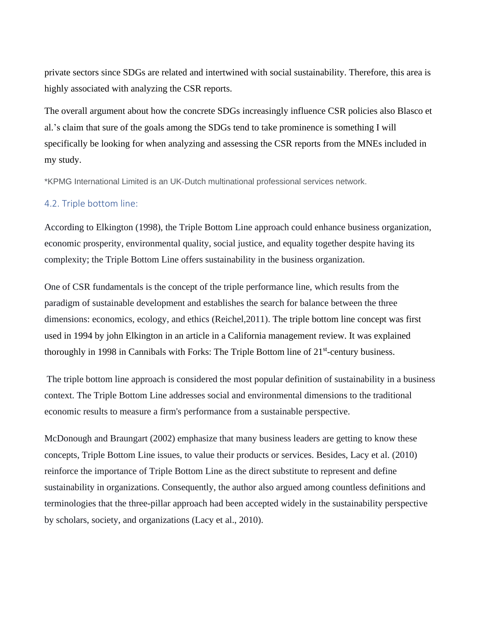private sectors since SDGs are related and intertwined with social sustainability. Therefore, this area is highly associated with analyzing the CSR reports.

The overall argument about how the concrete SDGs increasingly influence CSR policies also Blasco et al.'s claim that sure of the goals among the SDGs tend to take prominence is something I will specifically be looking for when analyzing and assessing the CSR reports from the MNEs included in my study.

\*KPMG International Limited is an UK-Dutch multinational professional services network.

#### <span id="page-20-0"></span>4.2. Triple bottom line:

According to Elkington (1998), the Triple Bottom Line approach could enhance business organization, economic prosperity, environmental quality, social justice, and equality together despite having its complexity; the Triple Bottom Line offers sustainability in the business organization.

One of CSR fundamentals is the concept of the triple performance line, which results from the paradigm of sustainable development and establishes the search for balance between the three dimensions: economics, ecology, and ethics (Reichel,2011). The triple bottom line concept was first used in 1994 by john Elkington in an article in a California management review. It was explained thoroughly in 1998 in Cannibals with Forks: The Triple Bottom line of 21<sup>st</sup>-century business.

The triple bottom line approach is considered the most popular definition of sustainability in a business context. The Triple Bottom Line addresses social and environmental dimensions to the traditional economic results to measure a firm's performance from a sustainable perspective.

McDonough and Braungart (2002) emphasize that many business leaders are getting to know these concepts, Triple Bottom Line issues, to value their products or services. Besides, Lacy et al. (2010) reinforce the importance of Triple Bottom Line as the direct substitute to represent and define sustainability in organizations. Consequently, the author also argued among countless definitions and terminologies that the three-pillar approach had been accepted widely in the sustainability perspective by scholars, society, and organizations (Lacy et al., 2010).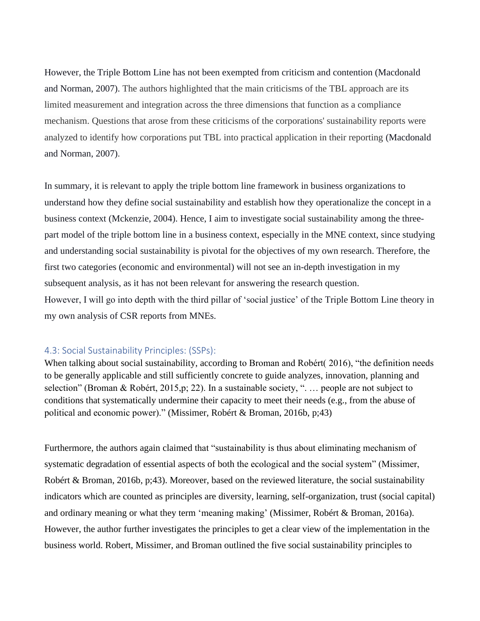However, the Triple Bottom Line has not been exempted from criticism and contention (Macdonald and Norman, 2007). The authors highlighted that the main criticisms of the TBL approach are its limited measurement and integration across the three dimensions that function as a compliance mechanism. Questions that arose from these criticisms of the corporations' sustainability reports were analyzed to identify how corporations put TBL into practical application in their reporting (Macdonald and Norman, 2007).

In summary, it is relevant to apply the triple bottom line framework in business organizations to understand how they define social sustainability and establish how they operationalize the concept in a business context (Mckenzie, 2004). Hence, I aim to investigate social sustainability among the threepart model of the triple bottom line in a business context, especially in the MNE context, since studying and understanding social sustainability is pivotal for the objectives of my own research. Therefore, the first two categories (economic and environmental) will not see an in-depth investigation in my subsequent analysis, as it has not been relevant for answering the research question. However, I will go into depth with the third pillar of 'social justice' of the Triple Bottom Line theory in my own analysis of CSR reports from MNEs.

#### <span id="page-21-0"></span>4.3: Social Sustainability Principles: (SSPs):

When talking about social sustainability, according to Broman and Robért( 2016), "the definition needs to be generally applicable and still sufficiently concrete to guide analyzes, innovation, planning and selection" (Broman & Robért, 2015,p; 22). In a sustainable society, ". ... people are not subject to conditions that systematically undermine their capacity to meet their needs (e.g., from the abuse of political and economic power)." (Missimer, Robért & Broman, 2016b, p;43)

Furthermore, the authors again claimed that "sustainability is thus about eliminating mechanism of systematic degradation of essential aspects of both the ecological and the social system" (Missimer, Robért & Broman, 2016b, p;43). Moreover, based on the reviewed literature, the social sustainability indicators which are counted as principles are diversity, learning, self-organization, trust (social capital) and ordinary meaning or what they term 'meaning making' (Missimer, Robért & Broman, 2016a). However, the author further investigates the principles to get a clear view of the implementation in the business world. Robert, Missimer, and Broman outlined the five social sustainability principles to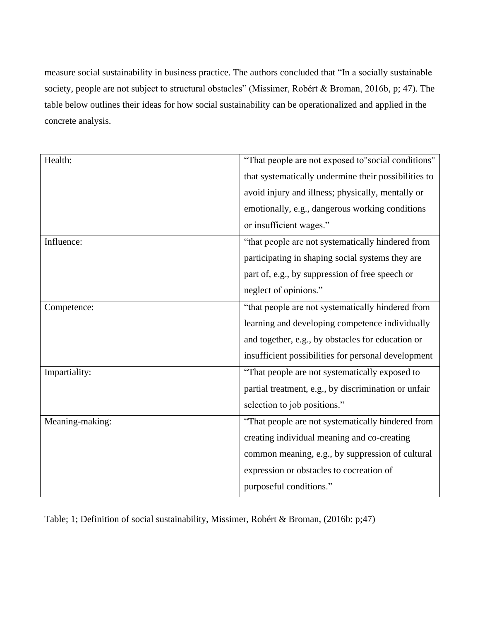measure social sustainability in business practice. The authors concluded that "In a socially sustainable society, people are not subject to structural obstacles" (Missimer, Robért & Broman, 2016b, p; 47). The table below outlines their ideas for how social sustainability can be operationalized and applied in the concrete analysis.

| Health:         | "That people are not exposed to"social conditions"   |
|-----------------|------------------------------------------------------|
|                 | that systematically undermine their possibilities to |
|                 | avoid injury and illness; physically, mentally or    |
|                 | emotionally, e.g., dangerous working conditions      |
|                 | or insufficient wages."                              |
| Influence:      | "that people are not systematically hindered from    |
|                 | participating in shaping social systems they are     |
|                 | part of, e.g., by suppression of free speech or      |
|                 | neglect of opinions."                                |
| Competence:     | "that people are not systematically hindered from    |
|                 | learning and developing competence individually      |
|                 | and together, e.g., by obstacles for education or    |
|                 | insufficient possibilities for personal development  |
| Impartiality:   | "That people are not systematically exposed to       |
|                 | partial treatment, e.g., by discrimination or unfair |
|                 | selection to job positions."                         |
| Meaning-making: | "That people are not systematically hindered from    |
|                 | creating individual meaning and co-creating          |
|                 | common meaning, e.g., by suppression of cultural     |
|                 | expression or obstacles to cocreation of             |
|                 | purposeful conditions."                              |

Table; 1; Definition of social sustainability, Missimer, Robért & Broman, (2016b: p;47)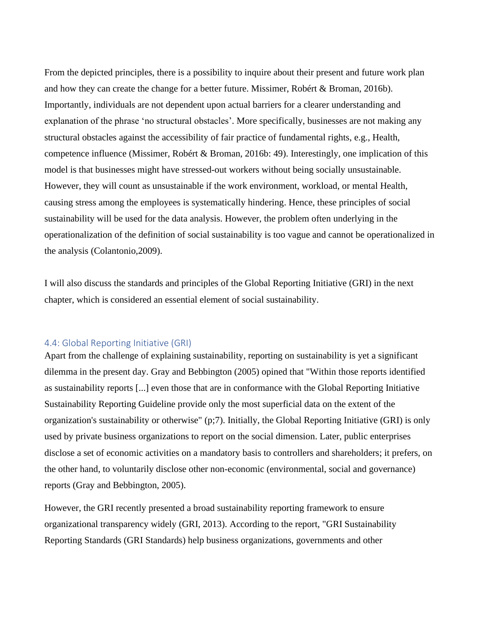From the depicted principles, there is a possibility to inquire about their present and future work plan and how they can create the change for a better future. Missimer, Robért & Broman, 2016b). Importantly, individuals are not dependent upon actual barriers for a clearer understanding and explanation of the phrase 'no structural obstacles'. More specifically, businesses are not making any structural obstacles against the accessibility of fair practice of fundamental rights, e.g., Health, competence influence (Missimer, Robért & Broman, 2016b: 49). Interestingly, one implication of this model is that businesses might have stressed-out workers without being socially unsustainable. However, they will count as unsustainable if the work environment, workload, or mental Health, causing stress among the employees is systematically hindering. Hence, these principles of social sustainability will be used for the data analysis. However, the problem often underlying in the operationalization of the definition of social sustainability is too vague and cannot be operationalized in the analysis (Colantonio,2009).

I will also discuss the standards and principles of the Global Reporting Initiative (GRI) in the next chapter, which is considered an essential element of social sustainability.

#### <span id="page-23-0"></span>4.4: Global Reporting Initiative (GRI)

Apart from the challenge of explaining sustainability, reporting on sustainability is yet a significant dilemma in the present day. Gray and Bebbington (2005) opined that "Within those reports identified as sustainability reports [...] even those that are in conformance with the Global Reporting Initiative Sustainability Reporting Guideline provide only the most superficial data on the extent of the organization's sustainability or otherwise" (p;7). Initially, the Global Reporting Initiative (GRI) is only used by private business organizations to report on the social dimension. Later, public enterprises disclose a set of economic activities on a mandatory basis to controllers and shareholders; it prefers, on the other hand, to voluntarily disclose other non-economic (environmental, social and governance) reports (Gray and Bebbington, 2005).

However, the GRI recently presented a broad sustainability reporting framework to ensure organizational transparency widely (GRI, 2013). According to the report, "GRI Sustainability Reporting Standards (GRI Standards) help business organizations, governments and other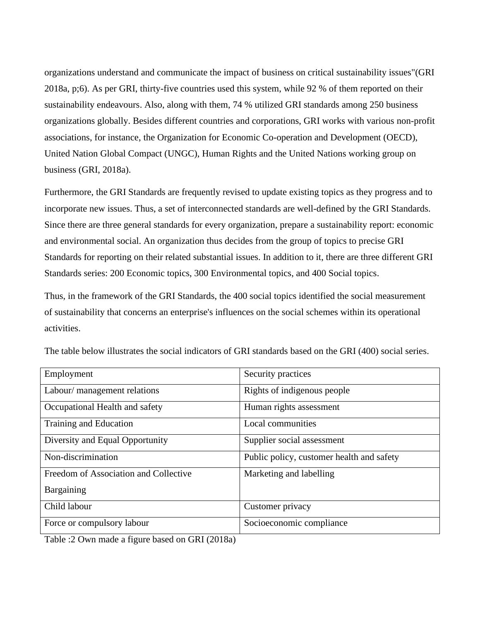organizations understand and communicate the impact of business on critical sustainability issues"(GRI 2018a, p;6). As per GRI, thirty-five countries used this system, while 92 % of them reported on their sustainability endeavours. Also, along with them, 74 % utilized GRI standards among 250 business organizations globally. Besides different countries and corporations, GRI works with various non-profit associations, for instance, the Organization for Economic Co-operation and Development (OECD), United Nation Global Compact (UNGC), Human Rights and the United Nations working group on business (GRI, 2018a).

Furthermore, the GRI Standards are frequently revised to update existing topics as they progress and to incorporate new issues. Thus, a set of interconnected standards are well-defined by the GRI Standards. Since there are three general standards for every organization, prepare a sustainability report: economic and environmental social. An organization thus decides from the group of topics to precise GRI Standards for reporting on their related substantial issues. In addition to it, there are three different GRI Standards series: 200 Economic topics, 300 Environmental topics, and 400 Social topics.

Thus, in the framework of the GRI Standards, the 400 social topics identified the social measurement of sustainability that concerns an enterprise's influences on the social schemes within its operational activities.

| Employment                            | Security practices                        |
|---------------------------------------|-------------------------------------------|
| Labour/ management relations          | Rights of indigenous people               |
| Occupational Health and safety        | Human rights assessment                   |
| Training and Education                | Local communities                         |
| Diversity and Equal Opportunity       | Supplier social assessment                |
| Non-discrimination                    | Public policy, customer health and safety |
| Freedom of Association and Collective | Marketing and labelling                   |
| Bargaining                            |                                           |
| Child labour                          | Customer privacy                          |
| Force or compulsory labour            | Socioeconomic compliance                  |

The table below illustrates the social indicators of GRI standards based on the GRI (400) social series.

Table :2 Own made a figure based on GRI (2018a)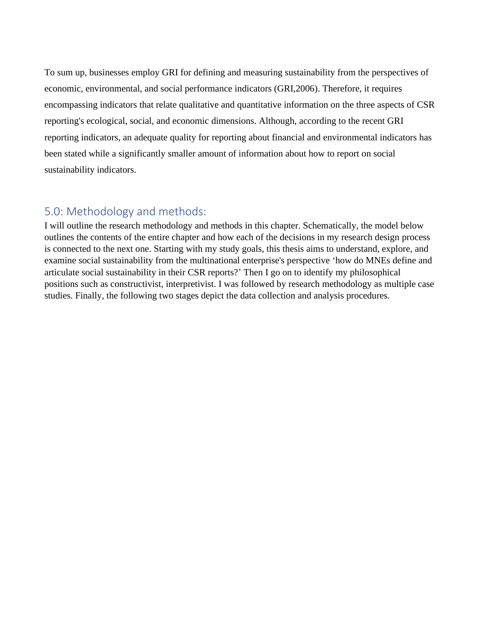To sum up, businesses employ GRI for defining and measuring sustainability from the perspectives of economic, environmental, and social performance indicators (GRI,2006). Therefore, it requires encompassing indicators that relate qualitative and quantitative information on the three aspects of CSR reporting's ecological, social, and economic dimensions. Although, according to the recent GRI reporting indicators, an adequate quality for reporting about financial and environmental indicators has been stated while a significantly smaller amount of information about how to report on social sustainability indicators.

## <span id="page-25-0"></span>5.0: Methodology and methods:

I will outline the research methodology and methods in this chapter. Schematically, the model below outlines the contents of the entire chapter and how each of the decisions in my research design process is connected to the next one. Starting with my study goals, this thesis aims to understand, explore, and examine social sustainability from the multinational enterprise's perspective 'how do MNEs define and articulate social sustainability in their CSR reports?' Then I go on to identify my philosophical positions such as constructivist, interpretivist. I was followed by research methodology as multiple case studies. Finally, the following two stages depict the data collection and analysis procedures.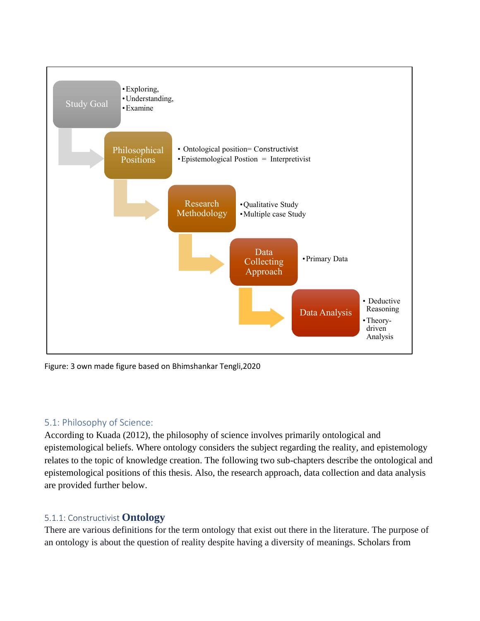

Figure: 3 own made figure based on Bhimshankar Tengli,2020

## <span id="page-26-0"></span>5.1: Philosophy of Science:

According to Kuada (2012), the philosophy of science involves primarily ontological and epistemological beliefs. Where ontology considers the subject regarding the reality, and epistemology relates to the topic of knowledge creation. The following two sub-chapters describe the ontological and epistemological positions of this thesis. Also, the research approach, data collection and data analysis are provided further below.

## <span id="page-26-1"></span>5.1.1: Constructivist **Ontology**

There are various definitions for the term ontology that exist out there in the literature. The purpose of an ontology is about the question of reality despite having a diversity of meanings. Scholars from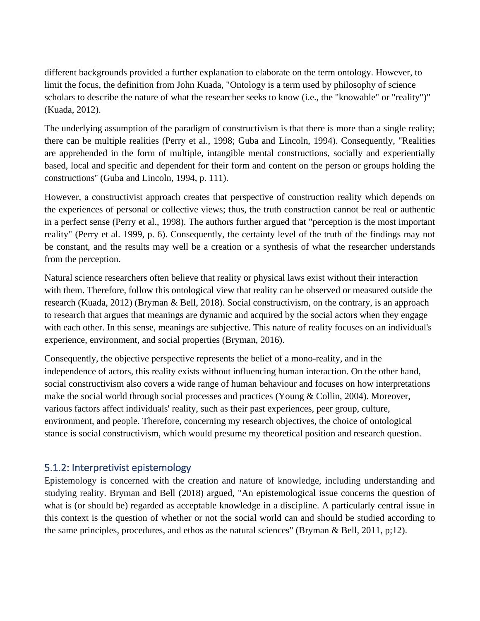different backgrounds provided a further explanation to elaborate on the term ontology. However, to limit the focus, the definition from John Kuada, "Ontology is a term used by philosophy of science scholars to describe the nature of what the researcher seeks to know (i.e., the "knowable" or "reality")" (Kuada, 2012).

The underlying assumption of the paradigm of constructivism is that there is more than a single reality; there can be multiple realities (Perry et al., 1998; Guba and Lincoln, 1994). Consequently, "Realities are apprehended in the form of multiple, intangible mental constructions, socially and experientially based, local and specific and dependent for their form and content on the person or groups holding the constructions'' (Guba and Lincoln, 1994, p. 111).

However, a constructivist approach creates that perspective of construction reality which depends on the experiences of personal or collective views; thus, the truth construction cannot be real or authentic in a perfect sense (Perry et al., 1998). The authors further argued that "perception is the most important reality" (Perry et al. 1999, p. 6). Consequently, the certainty level of the truth of the findings may not be constant, and the results may well be a creation or a synthesis of what the researcher understands from the perception.

Natural science researchers often believe that reality or physical laws exist without their interaction with them. Therefore, follow this ontological view that reality can be observed or measured outside the research (Kuada, 2012) (Bryman & Bell, 2018). Social constructivism, on the contrary, is an approach to research that argues that meanings are dynamic and acquired by the social actors when they engage with each other. In this sense, meanings are subjective. This nature of reality focuses on an individual's experience, environment, and social properties (Bryman, 2016).

Consequently, the objective perspective represents the belief of a mono-reality, and in the independence of actors, this reality exists without influencing human interaction. On the other hand, social constructivism also covers a wide range of human behaviour and focuses on how interpretations make the social world through social processes and practices (Young & Collin, 2004). Moreover, various factors affect individuals' reality, such as their past experiences, peer group, culture, environment, and people. Therefore, concerning my research objectives, the choice of ontological stance is social constructivism, which would presume my theoretical position and research question.

#### <span id="page-27-0"></span>5.1.2: Interpretivist epistemology

Epistemology is concerned with the creation and nature of knowledge, including understanding and studying reality. Bryman and Bell (2018) argued, "An epistemological issue concerns the question of what is (or should be) regarded as acceptable knowledge in a discipline. A particularly central issue in this context is the question of whether or not the social world can and should be studied according to the same principles, procedures, and ethos as the natural sciences" (Bryman & Bell, 2011, p;12).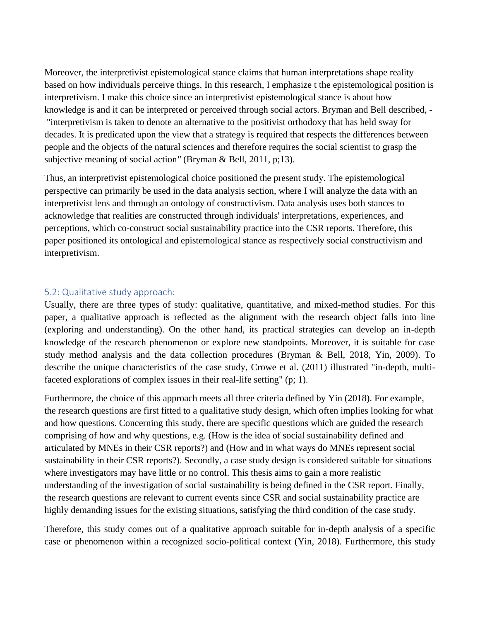Moreover, the interpretivist epistemological stance claims that human interpretations shape reality based on how individuals perceive things. In this research, I emphasize t the epistemological position is interpretivism. I make this choice since an interpretivist epistemological stance is about how knowledge is and it can be interpreted or perceived through social actors. Bryman and Bell described, - "interpretivism is taken to denote an alternative to the positivist orthodoxy that has held sway for decades. It is predicated upon the view that a strategy is required that respects the differences between people and the objects of the natural sciences and therefore requires the social scientist to grasp the subjective meaning of social action*"* (Bryman & Bell, 2011, p;13).

Thus, an interpretivist epistemological choice positioned the present study. The epistemological perspective can primarily be used in the data analysis section, where I will analyze the data with an interpretivist lens and through an ontology of constructivism. Data analysis uses both stances to acknowledge that realities are constructed through individuals' interpretations, experiences, and perceptions, which co-construct social sustainability practice into the CSR reports. Therefore, this paper positioned its ontological and epistemological stance as respectively social constructivism and interpretivism.

#### <span id="page-28-0"></span>5.2: Qualitative study approach:

Usually, there are three types of study: qualitative, quantitative, and mixed-method studies. For this paper, a qualitative approach is reflected as the alignment with the research object falls into line (exploring and understanding). On the other hand, its practical strategies can develop an in-depth knowledge of the research phenomenon or explore new standpoints. Moreover, it is suitable for case study method analysis and the data collection procedures (Bryman & Bell, 2018, Yin, 2009). To describe the unique characteristics of the case study, Crowe et al. (2011) illustrated "in-depth, multifaceted explorations of complex issues in their real-life setting" (p; 1).

Furthermore, the choice of this approach meets all three criteria defined by Yin (2018). For example, the research questions are first fitted to a qualitative study design, which often implies looking for what and how questions. Concerning this study, there are specific questions which are guided the research comprising of how and why questions, e.g. (How is the idea of social sustainability defined and articulated by MNEs in their CSR reports?) and (How and in what ways do MNEs represent social sustainability in their CSR reports?). Secondly, a case study design is considered suitable for situations where investigators may have little or no control. This thesis aims to gain a more realistic understanding of the investigation of social sustainability is being defined in the CSR report. Finally, the research questions are relevant to current events since CSR and social sustainability practice are highly demanding issues for the existing situations, satisfying the third condition of the case study.

Therefore, this study comes out of a qualitative approach suitable for in-depth analysis of a specific case or phenomenon within a recognized socio-political context (Yin, 2018). Furthermore, this study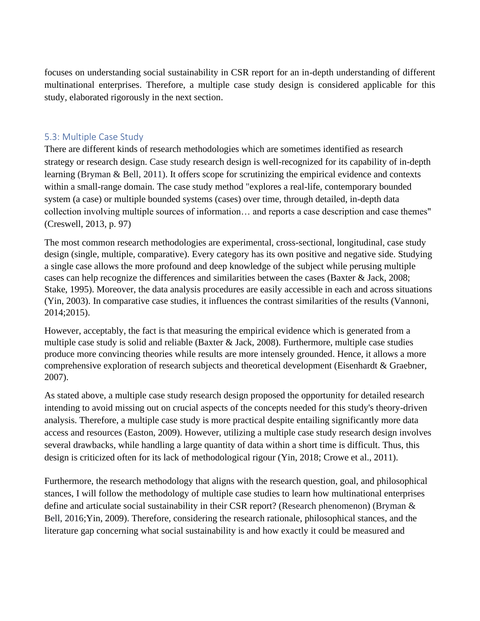focuses on understanding social sustainability in CSR report for an in-depth understanding of different multinational enterprises. Therefore, a multiple case study design is considered applicable for this study, elaborated rigorously in the next section.

#### <span id="page-29-0"></span>5.3: Multiple Case Study

There are different kinds of research methodologies which are sometimes identified as research strategy or research design. Case study research design is well-recognized for its capability of in-depth learning (Bryman & Bell, 2011). It offers scope for scrutinizing the empirical evidence and contexts within a small-range domain. The case study method "explores a real-life, contemporary bounded system (a case) or multiple bounded systems (cases) over time, through detailed, in-depth data collection involving multiple sources of information… and reports a case description and case themes" (Creswell, 2013, p. 97)

The most common research methodologies are experimental, cross-sectional, longitudinal, case study design (single, multiple, comparative). Every category has its own positive and negative side. Studying a single case allows the more profound and deep knowledge of the subject while perusing multiple cases can help recognize the differences and similarities between the cases (Baxter & Jack, 2008; Stake, 1995). Moreover, the data analysis procedures are easily accessible in each and across situations (Yin, 2003). In comparative case studies, it influences the contrast similarities of the results (Vannoni, 2014;2015).

However, acceptably, the fact is that measuring the empirical evidence which is generated from a multiple case study is solid and reliable (Baxter & Jack, 2008). Furthermore, multiple case studies produce more convincing theories while results are more intensely grounded. Hence, it allows a more comprehensive exploration of research subjects and theoretical development (Eisenhardt & Graebner, 2007).

As stated above, a multiple case study research design proposed the opportunity for detailed research intending to avoid missing out on crucial aspects of the concepts needed for this study's theory-driven analysis. Therefore, a multiple case study is more practical despite entailing significantly more data access and resources (Easton, 2009). However, utilizing a multiple case study research design involves several drawbacks, while handling a large quantity of data within a short time is difficult. Thus, this design is criticized often for its lack of methodological rigour (Yin, 2018; Crowe et al., 2011).

Furthermore, the research methodology that aligns with the research question, goal, and philosophical stances, I will follow the methodology of multiple case studies to learn how multinational enterprises define and articulate social sustainability in their CSR report? (Research phenomenon) (Bryman & Bell, 2016;Yin, 2009). Therefore, considering the research rationale, philosophical stances, and the literature gap concerning what social sustainability is and how exactly it could be measured and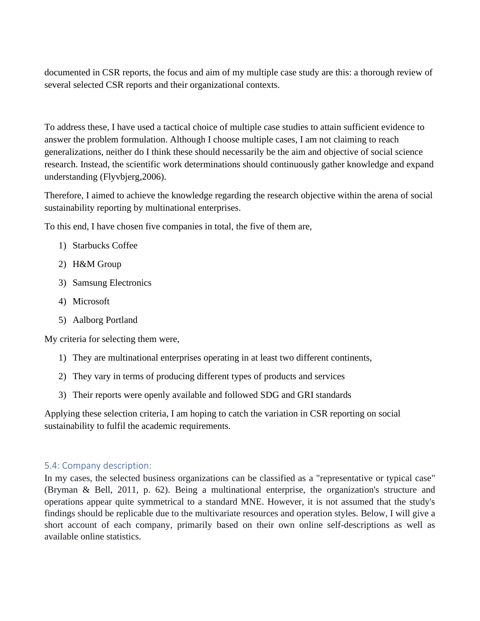documented in CSR reports, the focus and aim of my multiple case study are this: a thorough review of several selected CSR reports and their organizational contexts.

To address these, I have used a tactical choice of multiple case studies to attain sufficient evidence to answer the problem formulation. Although I choose multiple cases, I am not claiming to reach generalizations, neither do I think these should necessarily be the aim and objective of social science research. Instead, the scientific work determinations should continuously gather knowledge and expand understanding (Flyvbjerg,2006).

Therefore, I aimed to achieve the knowledge regarding the research objective within the arena of social sustainability reporting by multinational enterprises.

To this end, I have chosen five companies in total, the five of them are,

- 1) Starbucks Coffee
- 2) H&M Group
- 3) Samsung Electronics
- 4) Microsoft
- 5) Aalborg Portland

My criteria for selecting them were,

- 1) They are multinational enterprises operating in at least two different continents,
- 2) They vary in terms of producing different types of products and services
- 3) Their reports were openly available and followed SDG and GRI standards

Applying these selection criteria, I am hoping to catch the variation in CSR reporting on social sustainability to fulfil the academic requirements.

## <span id="page-30-0"></span>5.4: Company description:

In my cases, the selected business organizations can be classified as a "representative or typical case" (Bryman & Bell, 2011, p. 62). Being a multinational enterprise, the organization's structure and operations appear quite symmetrical to a standard MNE. However, it is not assumed that the study's findings should be replicable due to the multivariate resources and operation styles. Below, I will give a short account of each company, primarily based on their own online self-descriptions as well as available online statistics.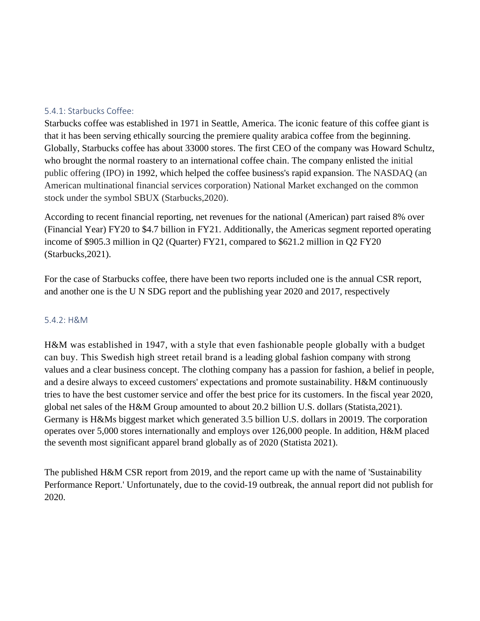#### <span id="page-31-0"></span>5.4.1: Starbucks Coffee:

Starbucks coffee was established in 1971 in Seattle, America. The iconic feature of this coffee giant is that it has been serving ethically sourcing the premiere quality arabica coffee from the beginning. Globally, Starbucks coffee has about 33000 stores. The first CEO of the company was Howard Schultz, who brought the normal roastery to an international coffee chain. The company enlisted the initial public offering (IPO) in 1992, which helped the coffee business's rapid expansion. The NASDAQ (an American multinational financial services corporation) National Market exchanged on the common stock under the symbol SBUX (Starbucks,2020).

According to recent financial reporting, net revenues for the national (American) part raised 8% over (Financial Year) FY20 to \$4.7 billion in FY21. Additionally, the Americas segment reported operating income of \$905.3 million in Q2 (Quarter) FY21, compared to \$621.2 million in Q2 FY20 (Starbucks,2021).

For the case of Starbucks coffee, there have been two reports included one is the annual CSR report, and another one is the U N SDG report and the publishing year 2020 and 2017, respectively

#### <span id="page-31-1"></span>5.4.2: H&M

H&M was established in 1947, with a style that even fashionable people globally with a budget can buy. This Swedish high street retail brand is a leading global fashion company with strong values and a clear business concept. The clothing company has a passion for fashion, a belief in people, and a desire always to exceed customers' expectations and promote sustainability. H&M continuously tries to have the best customer service and offer the best price for its customers. In the fiscal year 2020, global net sales of the H&M Group amounted to about 20.2 billion U.S. dollars (Statista,2021). Germany is H&Ms biggest market which generated 3.5 billion U.S. dollars in 20019. The corporation operates over 5,000 stores internationally and employs over 126,000 people. In addition, H&M placed the seventh most significant apparel brand globally as of 2020 (Statista 2021).

The published H&M CSR report from 2019, and the report came up with the name of 'Sustainability Performance Report.' Unfortunately, due to the covid-19 outbreak, the annual report did not publish for 2020.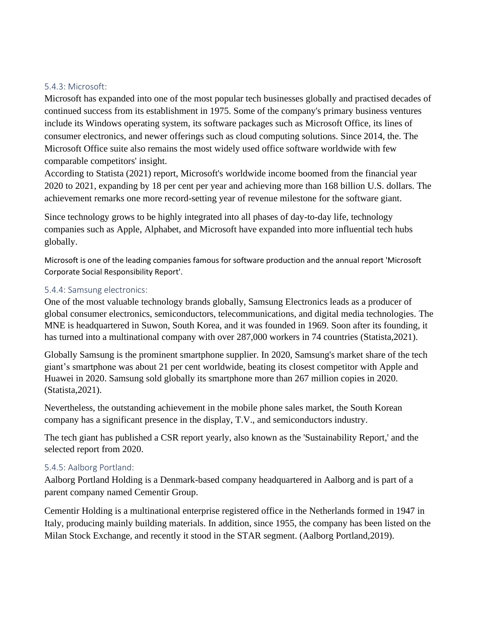#### <span id="page-32-0"></span>5.4.3: Microsoft:

Microsoft has expanded into one of the most popular tech businesses globally and practised decades of continued success from its establishment in 1975. Some of the company's primary business ventures include its Windows operating system, its software packages such as Microsoft Office, its lines of consumer electronics, and newer offerings such as cloud computing solutions. Since 2014, the. The Microsoft Office suite also remains the most widely used office software worldwide with few comparable competitors' insight.

According to Statista (2021) report, Microsoft's worldwide income boomed from the financial year 2020 to 2021, expanding by 18 per cent per year and achieving more than 168 billion U.S. dollars. The achievement remarks one more record-setting year of revenue milestone for the software giant.

Since technology grows to be highly integrated into all phases of day-to-day life, technology companies such as Apple, Alphabet, and Microsoft have expanded into more influential tech hubs globally.

Microsoft is one of the leading companies famous for software production and the annual report 'Microsoft Corporate Social Responsibility Report'.

#### <span id="page-32-1"></span>5.4.4: Samsung electronics:

One of the most valuable technology brands globally, Samsung Electronics leads as a producer of global consumer electronics, semiconductors, telecommunications, and digital media technologies. The MNE is headquartered in Suwon, South Korea, and it was founded in 1969. Soon after its founding, it has turned into a multinational company with over 287,000 workers in 74 countries (Statista, 2021).

Globally Samsung is the prominent smartphone supplier. In 2020, Samsung's market share of the tech giant's smartphone was about 21 per cent worldwide, beating its closest competitor with Apple and Huawei in 2020. Samsung sold globally its smartphone more than 267 million copies in 2020. (Statista,2021).

Nevertheless, the outstanding achievement in the mobile phone sales market, the South Korean company has a significant presence in the display, T.V., and semiconductors industry.

The tech giant has published a CSR report yearly, also known as the 'Sustainability Report,' and the selected report from 2020.

#### <span id="page-32-2"></span>5.4.5: Aalborg Portland:

Aalborg Portland Holding is a Denmark-based company headquartered in Aalborg and is part of a parent company named Cementir Group.

Cementir Holding is a multinational enterprise registered office in the Netherlands formed in 1947 in Italy, producing mainly building materials. In addition, since 1955, the company has been listed on the Milan Stock Exchange, and recently it stood in the STAR segment. (Aalborg Portland,2019).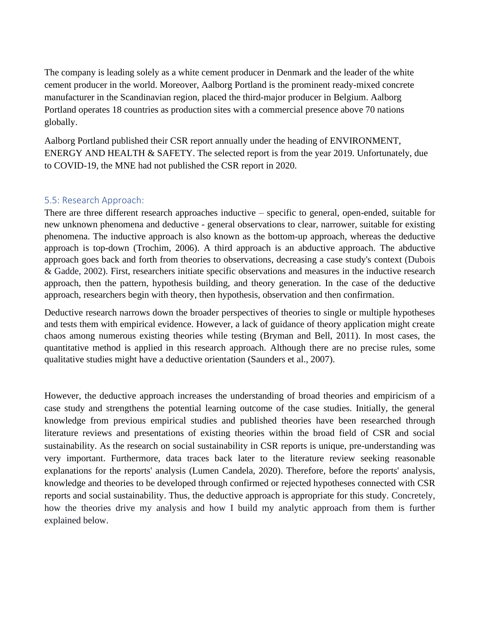The company is leading solely as a white cement producer in Denmark and the leader of the white cement producer in the world. Moreover, Aalborg Portland is the prominent ready-mixed concrete manufacturer in the Scandinavian region, placed the third-major producer in Belgium. Aalborg Portland operates 18 countries as production sites with a commercial presence above 70 nations globally.

Aalborg Portland published their CSR report annually under the heading of ENVIRONMENT, ENERGY AND HEALTH & SAFETY. The selected report is from the year 2019. Unfortunately, due to COVID-19, the MNE had not published the CSR report in 2020.

#### <span id="page-33-0"></span>5.5: Research Approach:

There are three different research approaches inductive – specific to general, open-ended, suitable for new unknown phenomena and deductive - general observations to clear, narrower, suitable for existing phenomena. The inductive approach is also known as the bottom-up approach, whereas the deductive approach is top-down (Trochim, 2006). A third approach is an abductive approach. The abductive approach goes back and forth from theories to observations, decreasing a case study's context (Dubois & Gadde, 2002). First, researchers initiate specific observations and measures in the inductive research approach, then the pattern, hypothesis building, and theory generation. In the case of the deductive approach, researchers begin with theory, then hypothesis, observation and then confirmation.

Deductive research narrows down the broader perspectives of theories to single or multiple hypotheses and tests them with empirical evidence. However, a lack of guidance of theory application might create chaos among numerous existing theories while testing (Bryman and Bell, 2011). In most cases, the quantitative method is applied in this research approach. Although there are no precise rules, some qualitative studies might have a deductive orientation (Saunders et al., 2007).

However, the deductive approach increases the understanding of broad theories and empiricism of a case study and strengthens the potential learning outcome of the case studies. Initially, the general knowledge from previous empirical studies and published theories have been researched through literature reviews and presentations of existing theories within the broad field of CSR and social sustainability. As the research on social sustainability in CSR reports is unique, pre-understanding was very important. Furthermore, data traces back later to the literature review seeking reasonable explanations for the reports' analysis (Lumen Candela, 2020). Therefore, before the reports' analysis, knowledge and theories to be developed through confirmed or rejected hypotheses connected with CSR reports and social sustainability. Thus, the deductive approach is appropriate for this study. Concretely, how the theories drive my analysis and how I build my analytic approach from them is further explained below.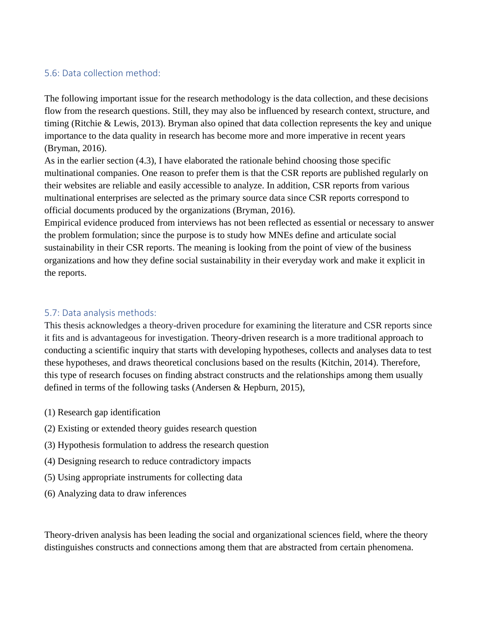## <span id="page-34-0"></span>5.6: Data collection method:

The following important issue for the research methodology is the data collection, and these decisions flow from the research questions. Still, they may also be influenced by research context, structure, and timing (Ritchie & Lewis, 2013). Bryman also opined that data collection represents the key and unique importance to the data quality in research has become more and more imperative in recent years (Bryman, 2016).

As in the earlier section (4.3), I have elaborated the rationale behind choosing those specific multinational companies. One reason to prefer them is that the CSR reports are published regularly on their websites are reliable and easily accessible to analyze. In addition, CSR reports from various multinational enterprises are selected as the primary source data since CSR reports correspond to official documents produced by the organizations (Bryman, 2016).

Empirical evidence produced from interviews has not been reflected as essential or necessary to answer the problem formulation; since the purpose is to study how MNEs define and articulate social sustainability in their CSR reports. The meaning is looking from the point of view of the business organizations and how they define social sustainability in their everyday work and make it explicit in the reports.

### <span id="page-34-1"></span>5.7: Data analysis methods:

This thesis acknowledges a theory-driven procedure for examining the literature and CSR reports since it fits and is advantageous for investigation. Theory-driven research is a more traditional approach to conducting a scientific inquiry that starts with developing hypotheses, collects and analyses data to test these hypotheses, and draws theoretical conclusions based on the results (Kitchin, 2014). Therefore, this type of research focuses on finding abstract constructs and the relationships among them usually defined in terms of the following tasks (Andersen & Hepburn, 2015),

- (1) Research gap identification
- (2) Existing or extended theory guides research question
- (3) Hypothesis formulation to address the research question
- (4) Designing research to reduce contradictory impacts
- (5) Using appropriate instruments for collecting data
- (6) Analyzing data to draw inferences

Theory-driven analysis has been leading the social and organizational sciences field, where the theory distinguishes constructs and connections among them that are abstracted from certain phenomena.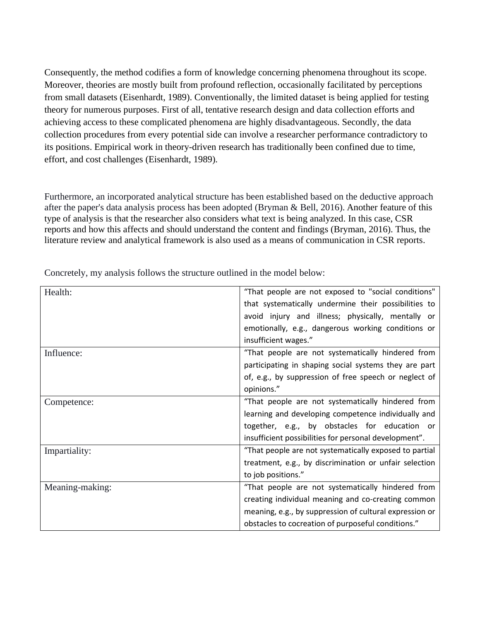Consequently, the method codifies a form of knowledge concerning phenomena throughout its scope. Moreover, theories are mostly built from profound reflection, occasionally facilitated by perceptions from small datasets (Eisenhardt, 1989). Conventionally, the limited dataset is being applied for testing theory for numerous purposes. First of all, tentative research design and data collection efforts and achieving access to these complicated phenomena are highly disadvantageous. Secondly, the data collection procedures from every potential side can involve a researcher performance contradictory to its positions. Empirical work in theory-driven research has traditionally been confined due to time, effort, and cost challenges (Eisenhardt, 1989).

Furthermore, an incorporated analytical structure has been established based on the deductive approach after the paper's data analysis process has been adopted (Bryman & Bell, 2016). Another feature of this type of analysis is that the researcher also considers what text is being analyzed. In this case, CSR reports and how this affects and should understand the content and findings (Bryman, 2016). Thus, the literature review and analytical framework is also used as a means of communication in CSR reports.

| Health:         | "That people are not exposed to "social conditions"     |
|-----------------|---------------------------------------------------------|
|                 | that systematically undermine their possibilities to    |
|                 | avoid injury and illness; physically, mentally or       |
|                 | emotionally, e.g., dangerous working conditions or      |
|                 | insufficient wages."                                    |
| Influence:      | "That people are not systematically hindered from       |
|                 | participating in shaping social systems they are part   |
|                 | of, e.g., by suppression of free speech or neglect of   |
|                 | opinions."                                              |
| Competence:     | "That people are not systematically hindered from       |
|                 | learning and developing competence individually and     |
|                 | together, e.g., by obstacles for education or           |
|                 | insufficient possibilities for personal development".   |
| Impartiality:   | "That people are not systematically exposed to partial  |
|                 | treatment, e.g., by discrimination or unfair selection  |
|                 | to job positions."                                      |
| Meaning-making: | "That people are not systematically hindered from       |
|                 | creating individual meaning and co-creating common      |
|                 | meaning, e.g., by suppression of cultural expression or |
|                 | obstacles to cocreation of purposeful conditions."      |

Concretely, my analysis follows the structure outlined in the model below: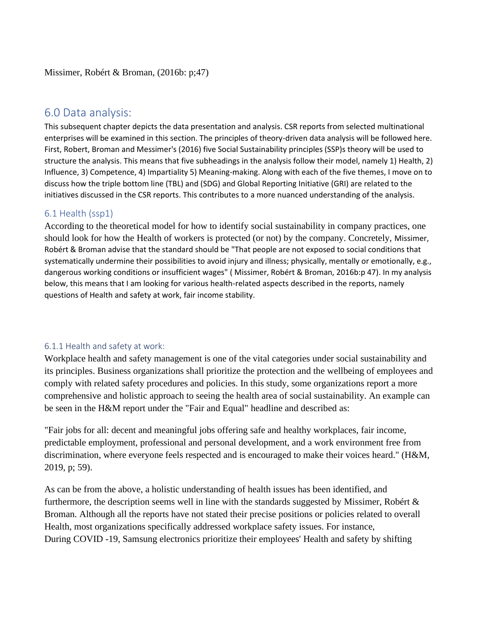## <span id="page-36-0"></span>6.0 Data analysis:

This subsequent chapter depicts the data presentation and analysis. CSR reports from selected multinational enterprises will be examined in this section. The principles of theory-driven data analysis will be followed here. First, Robert, Broman and Messimer's (2016) five Social Sustainability principles (SSP)s theory will be used to structure the analysis. This means that five subheadings in the analysis follow their model, namely 1) Health, 2) Influence, 3) Competence, 4) Impartiality 5) Meaning-making. Along with each of the five themes, I move on to discuss how the triple bottom line (TBL) and (SDG) and Global Reporting Initiative (GRI) are related to the initiatives discussed in the CSR reports. This contributes to a more nuanced understanding of the analysis.

### <span id="page-36-1"></span>6.1 Health (ssp1)

According to the theoretical model for how to identify social sustainability in company practices, one should look for how the Health of workers is protected (or not) by the company. Concretely, Missimer, Robért & Broman advise that the standard should be "That people are not exposed to social conditions that systematically undermine their possibilities to avoid injury and illness; physically, mentally or emotionally, e.g., dangerous working conditions or insufficient wages" ( Missimer, Robért & Broman, 2016b:p 47). In my analysis below, this means that I am looking for various health-related aspects described in the reports, namely questions of Health and safety at work, fair income stability.

#### <span id="page-36-2"></span>6.1.1 Health and safety at work:

Workplace health and safety management is one of the vital categories under social sustainability and its principles. Business organizations shall prioritize the protection and the wellbeing of employees and comply with related safety procedures and policies. In this study, some organizations report a more comprehensive and holistic approach to seeing the health area of social sustainability. An example can be seen in the H&M report under the "Fair and Equal" headline and described as:

"Fair jobs for all: decent and meaningful jobs offering safe and healthy workplaces, fair income, predictable employment, professional and personal development, and a work environment free from discrimination, where everyone feels respected and is encouraged to make their voices heard." (H&M, 2019, p; 59).

As can be from the above, a holistic understanding of health issues has been identified, and furthermore, the description seems well in line with the standards suggested by Missimer, Robért  $\&$ Broman. Although all the reports have not stated their precise positions or policies related to overall Health, most organizations specifically addressed workplace safety issues. For instance, During COVID -19, Samsung electronics prioritize their employees' Health and safety by shifting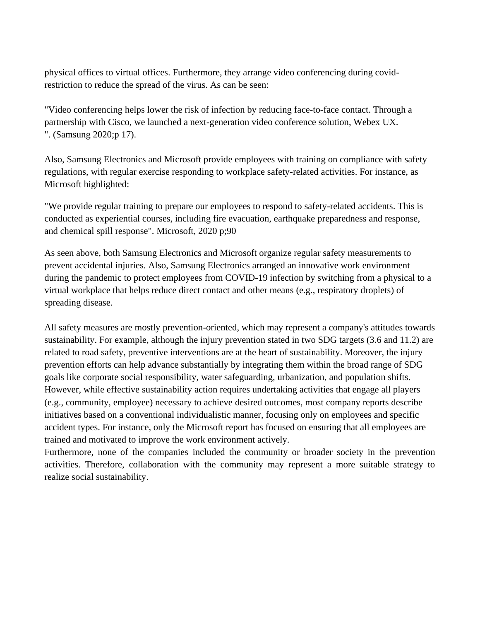physical offices to virtual offices. Furthermore, they arrange video conferencing during covidrestriction to reduce the spread of the virus. As can be seen:

"Video conferencing helps lower the risk of infection by reducing face-to-face contact. Through a partnership with Cisco, we launched a next-generation video conference solution, Webex UX. ". (Samsung 2020;p 17).

Also, Samsung Electronics and Microsoft provide employees with training on compliance with safety regulations, with regular exercise responding to workplace safety-related activities. For instance, as Microsoft highlighted:

"We provide regular training to prepare our employees to respond to safety-related accidents. This is conducted as experiential courses, including fire evacuation, earthquake preparedness and response, and chemical spill response". Microsoft, 2020 p;90

As seen above, both Samsung Electronics and Microsoft organize regular safety measurements to prevent accidental injuries. Also, Samsung Electronics arranged an innovative work environment during the pandemic to protect employees from COVID-19 infection by switching from a physical to a virtual workplace that helps reduce direct contact and other means (e.g., respiratory droplets) of spreading disease.

All safety measures are mostly prevention-oriented, which may represent a company's attitudes towards sustainability. For example, although the injury prevention stated in two SDG targets (3.6 and 11.2) are related to road safety, preventive interventions are at the heart of sustainability. Moreover, the injury prevention efforts can help advance substantially by integrating them within the broad range of SDG goals like corporate social responsibility, water safeguarding, urbanization, and population shifts. However, while effective sustainability action requires undertaking activities that engage all players (e.g., community, employee) necessary to achieve desired outcomes, most company reports describe initiatives based on a conventional individualistic manner, focusing only on employees and specific accident types. For instance, only the Microsoft report has focused on ensuring that all employees are trained and motivated to improve the work environment actively.

Furthermore, none of the companies included the community or broader society in the prevention activities. Therefore, collaboration with the community may represent a more suitable strategy to realize social sustainability.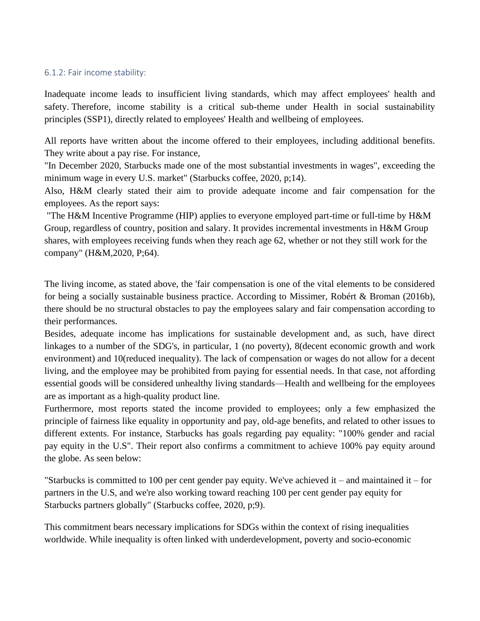#### <span id="page-38-0"></span>6.1.2: Fair income stability:

Inadequate income leads to insufficient living standards, which may affect employees' health and safety. Therefore, income stability is a critical sub-theme under Health in social sustainability principles (SSP1), directly related to employees' Health and wellbeing of employees.

All reports have written about the income offered to their employees, including additional benefits. They write about a pay rise. For instance,

"In December 2020, Starbucks made one of the most substantial investments in wages", exceeding the minimum wage in every U.S. market" (Starbucks coffee, 2020, p;14).

Also, H&M clearly stated their aim to provide adequate income and fair compensation for the employees. As the report says:

"The H&M Incentive Programme (HIP) applies to everyone employed part-time or full-time by H&M Group, regardless of country, position and salary. It provides incremental investments in H&M Group shares, with employees receiving funds when they reach age 62, whether or not they still work for the company" (H&M,2020, P;64).

The living income, as stated above, the 'fair compensation is one of the vital elements to be considered for being a socially sustainable business practice. According to Missimer, Robért & Broman (2016b), there should be no structural obstacles to pay the employees salary and fair compensation according to their performances.

Besides, adequate income has implications for sustainable development and, as such, have direct linkages to a number of the SDG's, in particular, 1 (no poverty), 8(decent economic growth and work environment) and 10(reduced inequality). The lack of compensation or wages do not allow for a decent living, and the employee may be prohibited from paying for essential needs. In that case, not affording essential goods will be considered unhealthy living standards—Health and wellbeing for the employees are as important as a high-quality product line.

Furthermore, most reports stated the income provided to employees; only a few emphasized the principle of fairness like equality in opportunity and pay, old-age benefits, and related to other issues to different extents. For instance, Starbucks has goals regarding pay equality: "100% gender and racial pay equity in the U.S". Their report also confirms a commitment to achieve 100% pay equity around the globe. As seen below:

"Starbucks is committed to 100 per cent gender pay equity. We've achieved it – and maintained it – for partners in the U.S, and we're also working toward reaching 100 per cent gender pay equity for Starbucks partners globally" (Starbucks coffee, 2020, p;9).

This commitment bears necessary implications for SDGs within the context of rising inequalities worldwide. While inequality is often linked with underdevelopment, poverty and socio-economic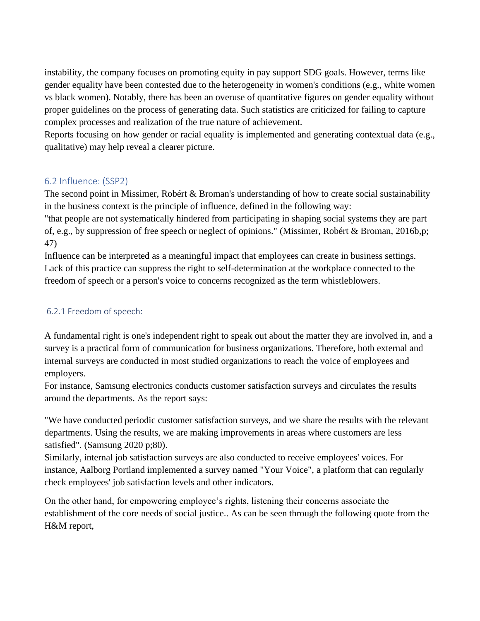instability, the company focuses on promoting equity in pay support SDG goals. However, terms like gender equality have been contested due to the heterogeneity in women's conditions (e.g., white women vs black women). Notably, there has been an overuse of quantitative figures on gender equality without proper guidelines on the process of generating data. Such statistics are criticized for failing to capture complex processes and realization of the true nature of achievement.

Reports focusing on how gender or racial equality is implemented and generating contextual data (e.g., qualitative) may help reveal a clearer picture.

## <span id="page-39-0"></span>6.2 Influence: (SSP2)

The second point in Missimer, Robért & Broman's understanding of how to create social sustainability in the business context is the principle of influence, defined in the following way:

"that people are not systematically hindered from participating in shaping social systems they are part of, e.g., by suppression of free speech or neglect of opinions." (Missimer, Robért & Broman, 2016b,p; 47)

Influence can be interpreted as a meaningful impact that employees can create in business settings. Lack of this practice can suppress the right to self-determination at the workplace connected to the freedom of speech or a person's voice to concerns recognized as the term whistleblowers.

## <span id="page-39-1"></span>6.2.1 Freedom of speech:

A fundamental right is one's independent right to speak out about the matter they are involved in, and a survey is a practical form of communication for business organizations. Therefore, both external and internal surveys are conducted in most studied organizations to reach the voice of employees and employers.

For instance, Samsung electronics conducts customer satisfaction surveys and circulates the results around the departments. As the report says:

"We have conducted periodic customer satisfaction surveys, and we share the results with the relevant departments. Using the results, we are making improvements in areas where customers are less satisfied". (Samsung 2020 p;80).

Similarly, internal job satisfaction surveys are also conducted to receive employees' voices. For instance, Aalborg Portland implemented a survey named "Your Voice", a platform that can regularly check employees' job satisfaction levels and other indicators.

On the other hand, for empowering employee's rights, listening their concerns associate the establishment of the core needs of social justice.. As can be seen through the following quote from the H&M report,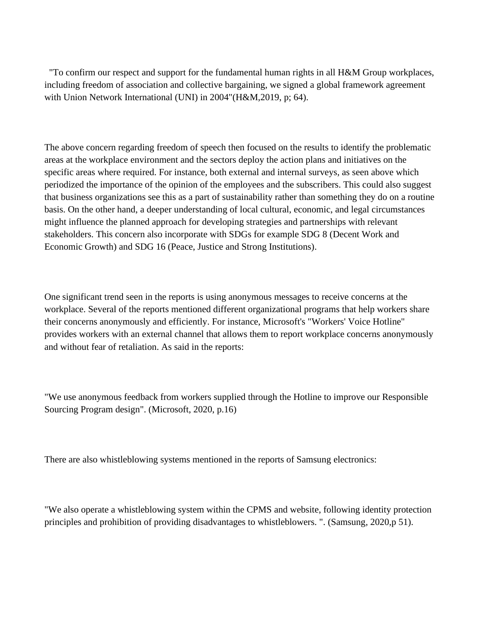"To confirm our respect and support for the fundamental human rights in all H&M Group workplaces, including freedom of association and collective bargaining, we signed a global framework agreement with Union Network International (UNI) in 2004"(H&M,2019, p; 64).

The above concern regarding freedom of speech then focused on the results to identify the problematic areas at the workplace environment and the sectors deploy the action plans and initiatives on the specific areas where required. For instance, both external and internal surveys, as seen above which periodized the importance of the opinion of the employees and the subscribers. This could also suggest that business organizations see this as a part of sustainability rather than something they do on a routine basis. On the other hand, a deeper understanding of local cultural, economic, and legal circumstances might influence the planned approach for developing strategies and partnerships with relevant stakeholders. This concern also incorporate with SDGs for example SDG 8 (Decent Work and Economic Growth) and SDG 16 (Peace, Justice and Strong Institutions).

One significant trend seen in the reports is using anonymous messages to receive concerns at the workplace. Several of the reports mentioned different organizational programs that help workers share their concerns anonymously and efficiently. For instance, Microsoft's "Workers' Voice Hotline" provides workers with an external channel that allows them to report workplace concerns anonymously and without fear of retaliation. As said in the reports:

"We use anonymous feedback from workers supplied through the Hotline to improve our Responsible Sourcing Program design". (Microsoft, 2020, p.16)

There are also whistleblowing systems mentioned in the reports of Samsung electronics:

"We also operate a whistleblowing system within the CPMS and website, following identity protection principles and prohibition of providing disadvantages to whistleblowers. ". (Samsung, 2020,p 51).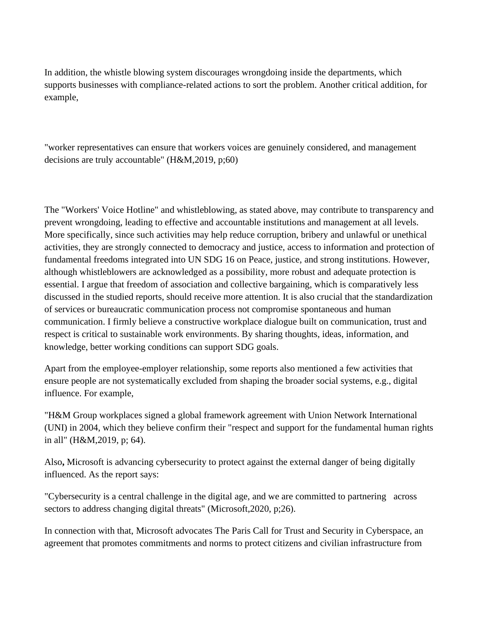In addition, the whistle blowing system discourages wrongdoing inside the departments, which supports businesses with compliance-related actions to sort the problem. Another critical addition, for example,

"worker representatives can ensure that workers voices are genuinely considered, and management decisions are truly accountable" (H&M,2019, p;60)

The "Workers' Voice Hotline" and whistleblowing, as stated above, may contribute to transparency and prevent wrongdoing, leading to effective and accountable institutions and management at all levels. More specifically, since such activities may help reduce corruption, bribery and unlawful or unethical activities, they are strongly connected to democracy and justice, access to information and protection of fundamental freedoms integrated into UN SDG 16 on Peace, justice, and strong institutions. However, although whistleblowers are acknowledged as a possibility, more robust and adequate protection is essential. I argue that freedom of association and collective bargaining, which is comparatively less discussed in the studied reports, should receive more attention. It is also crucial that the standardization of services or bureaucratic communication process not compromise spontaneous and human communication. I firmly believe a constructive workplace dialogue built on communication, trust and respect is critical to sustainable work environments. By sharing thoughts, ideas, information, and knowledge, better working conditions can support SDG goals.

Apart from the employee-employer relationship, some reports also mentioned a few activities that ensure people are not systematically excluded from shaping the broader social systems, e.g., digital influence. For example,

"H&M Group workplaces signed a global framework agreement with Union Network International (UNI) in 2004, which they believe confirm their "respect and support for the fundamental human rights in all" (H&M,2019, p; 64).

Also**,** Microsoft is advancing cybersecurity to protect against the external danger of being digitally influenced. As the report says:

"Cybersecurity is a central challenge in the digital age, and we are committed to partnering across sectors to address changing digital threats" (Microsoft,2020, p;26).

In connection with that, Microsoft advocates The Paris Call for Trust and Security in Cyberspace, an agreement that promotes commitments and norms to protect citizens and civilian infrastructure from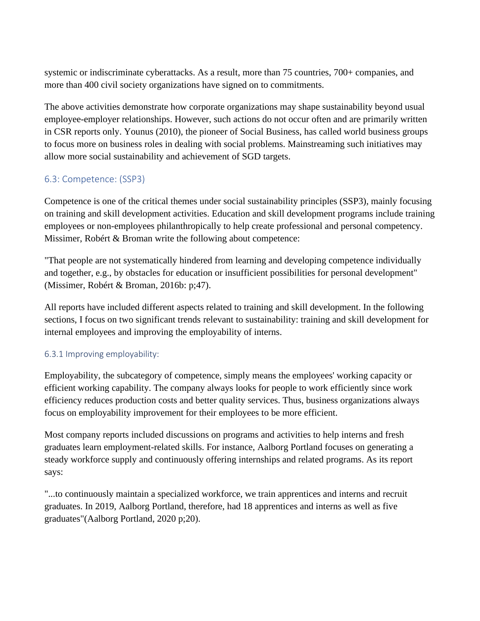systemic or indiscriminate cyberattacks. As a result, more than 75 countries, 700+ companies, and more than 400 civil society organizations have signed on to commitments.

The above activities demonstrate how corporate organizations may shape sustainability beyond usual employee-employer relationships. However, such actions do not occur often and are primarily written in CSR reports only. Younus (2010), the pioneer of Social Business, has called world business groups to focus more on business roles in dealing with social problems. Mainstreaming such initiatives may allow more social sustainability and achievement of SGD targets.

## <span id="page-42-0"></span>6.3: Competence: (SSP3)

Competence is one of the critical themes under social sustainability principles (SSP3), mainly focusing on training and skill development activities. Education and skill development programs include training employees or non-employees philanthropically to help create professional and personal competency. Missimer, Robért & Broman write the following about competence:

"That people are not systematically hindered from learning and developing competence individually and together, e.g., by obstacles for education or insufficient possibilities for personal development" (Missimer, Robért & Broman, 2016b: p;47).

All reports have included different aspects related to training and skill development. In the following sections, I focus on two significant trends relevant to sustainability: training and skill development for internal employees and improving the employability of interns.

## <span id="page-42-1"></span>6.3.1 Improving employability:

Employability, the subcategory of competence, simply means the employees' working capacity or efficient working capability. The company always looks for people to work efficiently since work efficiency reduces production costs and better quality services. Thus, business organizations always focus on employability improvement for their employees to be more efficient.

Most company reports included discussions on programs and activities to help interns and fresh graduates learn employment-related skills. For instance, Aalborg Portland focuses on generating a steady workforce supply and continuously offering internships and related programs. As its report says:

"...to continuously maintain a specialized workforce, we train apprentices and interns and recruit graduates. In 2019, Aalborg Portland, therefore, had 18 apprentices and interns as well as five graduates"(Aalborg Portland, 2020 p;20).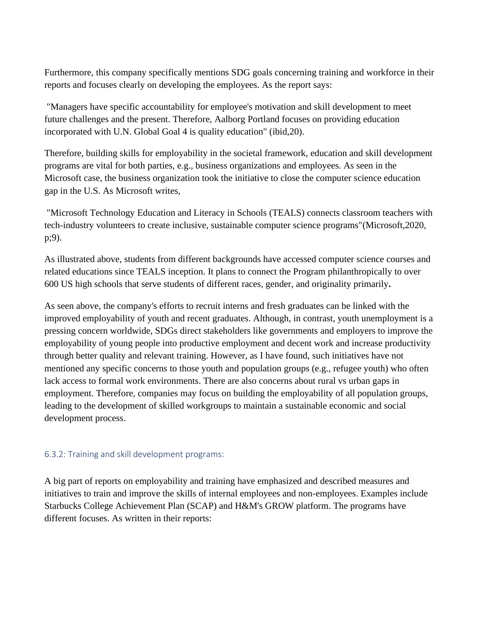Furthermore, this company specifically mentions SDG goals concerning training and workforce in their reports and focuses clearly on developing the employees. As the report says:

"Managers have specific accountability for employee's motivation and skill development to meet future challenges and the present. Therefore, Aalborg Portland focuses on providing education incorporated with U.N. Global Goal 4 is quality education" (ibid,20).

Therefore, building skills for employability in the societal framework, education and skill development programs are vital for both parties, e.g., business organizations and employees. As seen in the Microsoft case, the business organization took the initiative to close the computer science education gap in the U.S. As Microsoft writes,

"Microsoft Technology Education and Literacy in Schools (TEALS) connects classroom teachers with tech-industry volunteers to create inclusive, sustainable computer science programs"(Microsoft,2020, p;9).

As illustrated above, students from different backgrounds have accessed computer science courses and related educations since TEALS inception. It plans to connect the Program philanthropically to over 600 US high schools that serve students of different races, gender, and originality primarily**.**

As seen above, the company's efforts to recruit interns and fresh graduates can be linked with the improved employability of youth and recent graduates. Although, in contrast, youth unemployment is a pressing concern worldwide, SDGs direct stakeholders like governments and employers to improve the employability of young people into productive employment and decent work and increase productivity through better quality and relevant training. However, as I have found, such initiatives have not mentioned any specific concerns to those youth and population groups (e.g., refugee youth) who often lack access to formal work environments. There are also concerns about rural vs urban gaps in employment. Therefore, companies may focus on building the employability of all population groups, leading to the development of skilled workgroups to maintain a sustainable economic and social development process.

#### <span id="page-43-0"></span>6.3.2: Training and skill development programs:

A big part of reports on employability and training have emphasized and described measures and initiatives to train and improve the skills of internal employees and non-employees. Examples include Starbucks College Achievement Plan (SCAP) and H&M's GROW platform. The programs have different focuses. As written in their reports: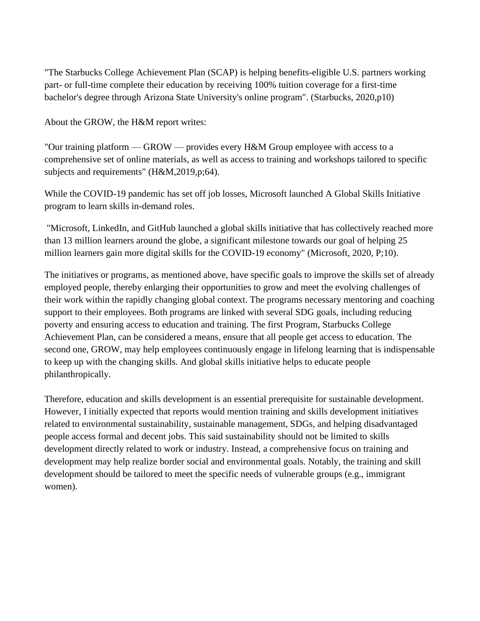"The Starbucks College Achievement Plan (SCAP) is helping benefits-eligible U.S. partners working part- or full-time complete their education by receiving 100% tuition coverage for a first-time bachelor's degree through Arizona State University's online program". (Starbucks, 2020,p10)

About the GROW, the H&M report writes:

"Our training platform — GROW — provides every H&M Group employee with access to a comprehensive set of online materials, as well as access to training and workshops tailored to specific subjects and requirements" (H&M,2019,p;64).

While the COVID-19 pandemic has set off job losses, Microsoft launched A Global Skills Initiative program to learn skills in-demand roles.

"Microsoft, LinkedIn, and GitHub launched a global skills initiative that has collectively reached more than 13 million learners around the globe, a significant milestone towards our goal of helping 25 million learners gain more digital skills for the COVID-19 economy" (Microsoft, 2020, P;10).

The initiatives or programs, as mentioned above, have specific goals to improve the skills set of already employed people, thereby enlarging their opportunities to grow and meet the evolving challenges of their work within the rapidly changing global context. The programs necessary mentoring and coaching support to their employees. Both programs are linked with several SDG goals, including reducing poverty and ensuring access to education and training. The first Program, Starbucks College Achievement Plan, can be considered a means, ensure that all people get access to education. The second one, GROW, may help employees continuously engage in lifelong learning that is indispensable to keep up with the changing skills. And global skills initiative helps to educate people philanthropically.

Therefore, education and skills development is an essential prerequisite for sustainable development. However, I initially expected that reports would mention training and skills development initiatives related to environmental sustainability, sustainable management, SDGs, and helping disadvantaged people access formal and decent jobs. This said sustainability should not be limited to skills development directly related to work or industry. Instead, a comprehensive focus on training and development may help realize border social and environmental goals. Notably, the training and skill development should be tailored to meet the specific needs of vulnerable groups (e.g., immigrant women).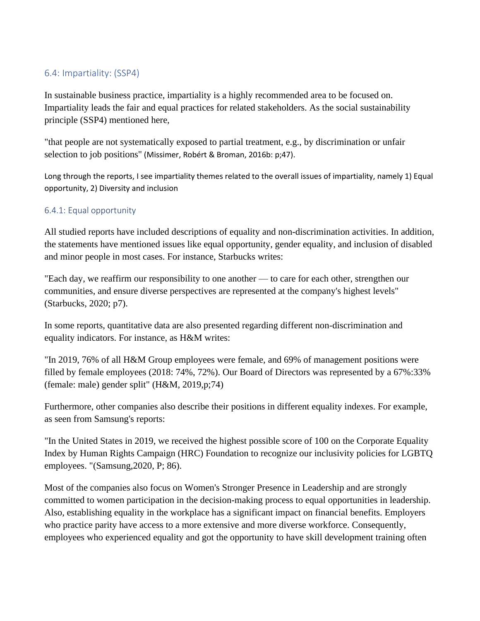## <span id="page-45-0"></span>6.4: Impartiality: (SSP4)

In sustainable business practice, impartiality is a highly recommended area to be focused on. Impartiality leads the fair and equal practices for related stakeholders. As the social sustainability principle (SSP4) mentioned here,

"that people are not systematically exposed to partial treatment, e.g., by discrimination or unfair selection to job positions" (Missimer, Robért & Broman, 2016b: p;47).

Long through the reports, I see impartiality themes related to the overall issues of impartiality, namely 1) Equal opportunity, 2) Diversity and inclusion

### <span id="page-45-1"></span>6.4.1: Equal opportunity

All studied reports have included descriptions of equality and non-discrimination activities. In addition, the statements have mentioned issues like equal opportunity, gender equality, and inclusion of disabled and minor people in most cases. For instance, Starbucks writes:

"Each day, we reaffirm our responsibility to one another — to care for each other, strengthen our communities, and ensure diverse perspectives are represented at the company's highest levels" (Starbucks, 2020; p7).

In some reports, quantitative data are also presented regarding different non-discrimination and equality indicators. For instance, as H&M writes:

"In 2019, 76% of all H&M Group employees were female, and 69% of management positions were filled by female employees (2018: 74%, 72%). Our Board of Directors was represented by a 67%:33% (female: male) gender split" (H&M, 2019,p;74)

Furthermore, other companies also describe their positions in different equality indexes. For example, as seen from Samsung's reports:

"In the United States in 2019, we received the highest possible score of 100 on the Corporate Equality Index by Human Rights Campaign (HRC) Foundation to recognize our inclusivity policies for LGBTQ employees. "(Samsung,2020, P; 86).

Most of the companies also focus on Women's Stronger Presence in Leadership and are strongly committed to women participation in the decision-making process to equal opportunities in leadership. Also, establishing equality in the workplace has a significant impact on financial benefits. Employers who practice parity have access to a more extensive and more diverse workforce. Consequently, employees who experienced equality and got the opportunity to have skill development training often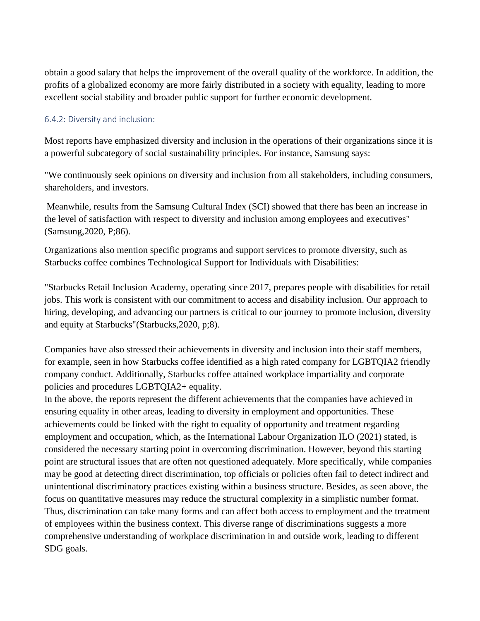obtain a good salary that helps the improvement of the overall quality of the workforce. In addition, the profits of a globalized economy are more fairly distributed in a society with equality, leading to more excellent social stability and broader public support for further economic development.

#### <span id="page-46-0"></span>6.4.2: Diversity and inclusion:

Most reports have emphasized diversity and inclusion in the operations of their organizations since it is a powerful subcategory of social sustainability principles. For instance, Samsung says:

"We continuously seek opinions on diversity and inclusion from all stakeholders, including consumers, shareholders, and investors.

Meanwhile, results from the Samsung Cultural Index (SCI) showed that there has been an increase in the level of satisfaction with respect to diversity and inclusion among employees and executives" (Samsung,2020, P;86).

Organizations also mention specific programs and support services to promote diversity, such as Starbucks coffee combines Technological Support for Individuals with Disabilities:

"Starbucks Retail Inclusion Academy, operating since 2017, prepares people with disabilities for retail jobs. This work is consistent with our commitment to access and disability inclusion. Our approach to hiring, developing, and advancing our partners is critical to our journey to promote inclusion, diversity and equity at Starbucks"(Starbucks,2020, p;8).

Companies have also stressed their achievements in diversity and inclusion into their staff members, for example, seen in how Starbucks coffee identified as a high rated company for LGBTQIA2 friendly company conduct. Additionally, Starbucks coffee attained workplace impartiality and corporate policies and procedures LGBTQIA2+ equality.

In the above, the reports represent the different achievements that the companies have achieved in ensuring equality in other areas, leading to diversity in employment and opportunities. These achievements could be linked with the right to equality of opportunity and treatment regarding employment and occupation, which, as the International Labour Organization ILO (2021) stated, is considered the necessary starting point in overcoming discrimination. However, beyond this starting point are structural issues that are often not questioned adequately. More specifically, while companies may be good at detecting direct discrimination, top officials or policies often fail to detect indirect and unintentional discriminatory practices existing within a business structure. Besides, as seen above, the focus on quantitative measures may reduce the structural complexity in a simplistic number format. Thus, discrimination can take many forms and can affect both access to employment and the treatment of employees within the business context. This diverse range of discriminations suggests a more comprehensive understanding of workplace discrimination in and outside work, leading to different SDG goals.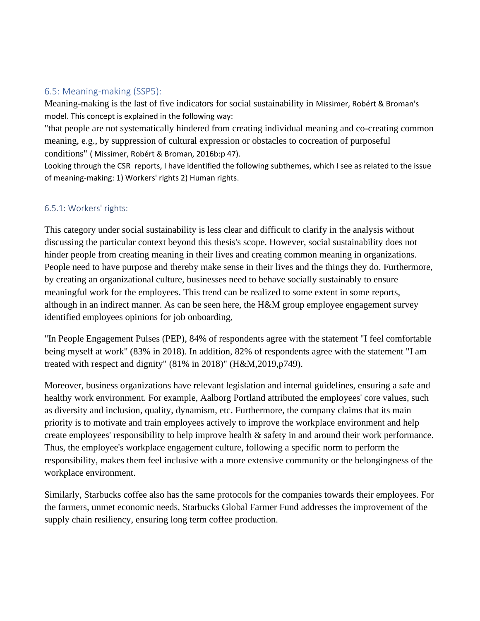## <span id="page-47-0"></span>6.5: Meaning-making (SSP5):

Meaning-making is the last of five indicators for social sustainability in Missimer, Robért & Broman's model. This concept is explained in the following way:

"that people are not systematically hindered from creating individual meaning and co-creating common meaning, e.g., by suppression of cultural expression or obstacles to cocreation of purposeful conditions" ( Missimer, Robért & Broman, 2016b:p 47).

Looking through the CSR reports, I have identified the following subthemes, which I see as related to the issue of meaning-making: 1) Workers' rights 2) Human rights.

#### <span id="page-47-1"></span>6.5.1: Workers' rights:

This category under social sustainability is less clear and difficult to clarify in the analysis without discussing the particular context beyond this thesis's scope. However, social sustainability does not hinder people from creating meaning in their lives and creating common meaning in organizations. People need to have purpose and thereby make sense in their lives and the things they do. Furthermore, by creating an organizational culture, businesses need to behave socially sustainably to ensure meaningful work for the employees. This trend can be realized to some extent in some reports, although in an indirect manner. As can be seen here, the H&M group employee engagement survey identified employees opinions for job onboarding,

"In People Engagement Pulses (PEP), 84% of respondents agree with the statement "I feel comfortable being myself at work" (83% in 2018). In addition, 82% of respondents agree with the statement "I am treated with respect and dignity" (81% in 2018)" (H&M,2019,p749).

Moreover, business organizations have relevant legislation and internal guidelines, ensuring a safe and healthy work environment. For example, Aalborg Portland attributed the employees' core values, such as diversity and inclusion, quality, dynamism, etc. Furthermore, the company claims that its main priority is to motivate and train employees actively to improve the workplace environment and help create employees' responsibility to help improve health & safety in and around their work performance. Thus, the employee's workplace engagement culture, following a specific norm to perform the responsibility, makes them feel inclusive with a more extensive community or the belongingness of the workplace environment.

Similarly, Starbucks coffee also has the same protocols for the companies towards their employees. For the farmers, unmet economic needs, Starbucks Global Farmer Fund addresses the improvement of the supply chain resiliency, ensuring long term coffee production.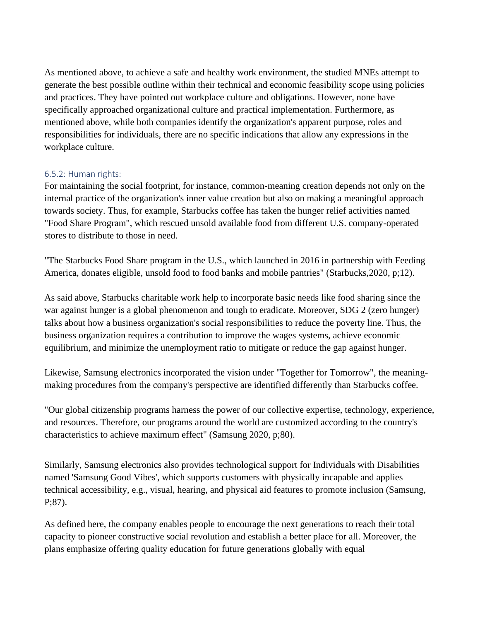As mentioned above, to achieve a safe and healthy work environment, the studied MNEs attempt to generate the best possible outline within their technical and economic feasibility scope using policies and practices. They have pointed out workplace culture and obligations. However, none have specifically approached organizational culture and practical implementation. Furthermore, as mentioned above, while both companies identify the organization's apparent purpose, roles and responsibilities for individuals, there are no specific indications that allow any expressions in the workplace culture.

#### <span id="page-48-0"></span>6.5.2: Human rights:

For maintaining the social footprint, for instance, common-meaning creation depends not only on the internal practice of the organization's inner value creation but also on making a meaningful approach towards society. Thus, for example, Starbucks coffee has taken the hunger relief activities named "Food Share Program", which rescued unsold available food from different U.S. company-operated stores to distribute to those in need.

"The Starbucks Food Share program in the U.S., which launched in 2016 in partnership with Feeding America, donates eligible, unsold food to food banks and mobile pantries" (Starbucks,2020, p;12).

As said above, Starbucks charitable work help to incorporate basic needs like food sharing since the war against hunger is a global phenomenon and tough to eradicate. Moreover, SDG 2 (zero hunger) talks about how a business organization's social responsibilities to reduce the poverty line. Thus, the business organization requires a contribution to improve the wages systems, achieve economic equilibrium, and minimize the unemployment ratio to mitigate or reduce the gap against hunger.

Likewise, Samsung electronics incorporated the vision under "Together for Tomorrow", the meaningmaking procedures from the company's perspective are identified differently than Starbucks coffee.

"Our global citizenship programs harness the power of our collective expertise, technology, experience, and resources. Therefore, our programs around the world are customized according to the country's characteristics to achieve maximum effect" (Samsung 2020, p;80).

Similarly, Samsung electronics also provides technological support for Individuals with Disabilities named 'Samsung Good Vibes', which supports customers with physically incapable and applies technical accessibility, e.g., visual, hearing, and physical aid features to promote inclusion (Samsung, P;87).

As defined here, the company enables people to encourage the next generations to reach their total capacity to pioneer constructive social revolution and establish a better place for all. Moreover, the plans emphasize offering quality education for future generations globally with equal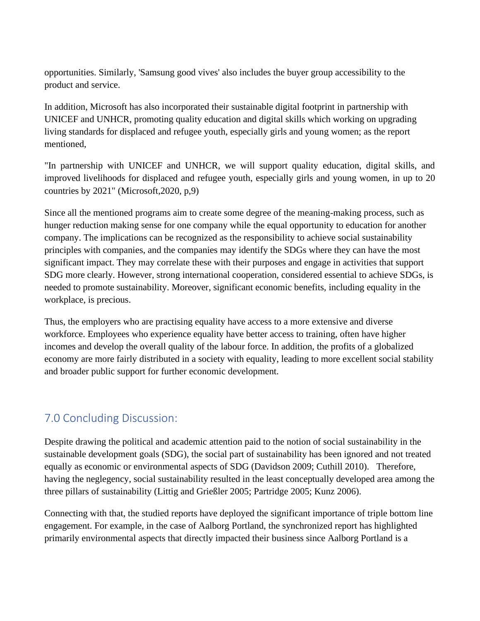opportunities. Similarly, 'Samsung good vives' also includes the buyer group accessibility to the product and service.

In addition, Microsoft has also incorporated their sustainable digital footprint in partnership with UNICEF and UNHCR, promoting quality education and digital skills which working on upgrading living standards for displaced and refugee youth, especially girls and young women; as the report mentioned,

"In partnership with UNICEF and UNHCR, we will support quality education, digital skills, and improved livelihoods for displaced and refugee youth, especially girls and young women, in up to 20 countries by 2021" (Microsoft,2020, p,9)

Since all the mentioned programs aim to create some degree of the meaning-making process, such as hunger reduction making sense for one company while the equal opportunity to education for another company. The implications can be recognized as the responsibility to achieve social sustainability principles with companies, and the companies may identify the SDGs where they can have the most significant impact. They may correlate these with their purposes and engage in activities that support SDG more clearly. However, strong international cooperation, considered essential to achieve SDGs, is needed to promote sustainability. Moreover, significant economic benefits, including equality in the workplace, is precious.

Thus, the employers who are practising equality have access to a more extensive and diverse workforce. Employees who experience equality have better access to training, often have higher incomes and develop the overall quality of the labour force. In addition, the profits of a globalized economy are more fairly distributed in a society with equality, leading to more excellent social stability and broader public support for further economic development.

# <span id="page-49-0"></span>7.0 Concluding Discussion:

Despite drawing the political and academic attention paid to the notion of social sustainability in the sustainable development goals (SDG), the social part of sustainability has been ignored and not treated equally as economic or environmental aspects of SDG (Davidson 2009; Cuthill 2010). Therefore, having the neglegency, social sustainability resulted in the least conceptually developed area among the three pillars of sustainability (Littig and Grießler 2005; Partridge 2005; Kunz 2006).

Connecting with that, the studied reports have deployed the significant importance of triple bottom line engagement. For example, in the case of Aalborg Portland, the synchronized report has highlighted primarily environmental aspects that directly impacted their business since Aalborg Portland is a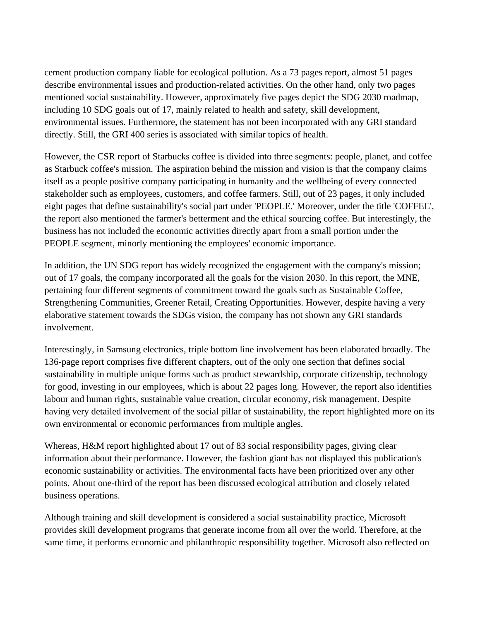cement production company liable for ecological pollution. As a 73 pages report, almost 51 pages describe environmental issues and production-related activities. On the other hand, only two pages mentioned social sustainability. However, approximately five pages depict the SDG 2030 roadmap, including 10 SDG goals out of 17, mainly related to health and safety, skill development, environmental issues. Furthermore, the statement has not been incorporated with any GRI standard directly. Still, the GRI 400 series is associated with similar topics of health.

However, the CSR report of Starbucks coffee is divided into three segments: people, planet, and coffee as Starbuck coffee's mission. The aspiration behind the mission and vision is that the company claims itself as a people positive company participating in humanity and the wellbeing of every connected stakeholder such as employees, customers, and coffee farmers. Still, out of 23 pages, it only included eight pages that define sustainability's social part under 'PEOPLE.' Moreover, under the title 'COFFEE', the report also mentioned the farmer's betterment and the ethical sourcing coffee. But interestingly, the business has not included the economic activities directly apart from a small portion under the PEOPLE segment, minorly mentioning the employees' economic importance.

In addition, the UN SDG report has widely recognized the engagement with the company's mission; out of 17 goals, the company incorporated all the goals for the vision 2030. In this report, the MNE, pertaining four different segments of commitment toward the goals such as Sustainable Coffee, Strengthening Communities, Greener Retail, Creating Opportunities. However, despite having a very elaborative statement towards the SDGs vision, the company has not shown any GRI standards involvement.

Interestingly, in Samsung electronics, triple bottom line involvement has been elaborated broadly. The 136-page report comprises five different chapters, out of the only one section that defines social sustainability in multiple unique forms such as product stewardship, corporate citizenship, technology for good, investing in our employees, which is about 22 pages long. However, the report also identifies labour and human rights, sustainable value creation, circular economy, risk management. Despite having very detailed involvement of the social pillar of sustainability, the report highlighted more on its own environmental or economic performances from multiple angles.

Whereas, H&M report highlighted about 17 out of 83 social responsibility pages, giving clear information about their performance. However, the fashion giant has not displayed this publication's economic sustainability or activities. The environmental facts have been prioritized over any other points. About one-third of the report has been discussed ecological attribution and closely related business operations.

Although training and skill development is considered a social sustainability practice, Microsoft provides skill development programs that generate income from all over the world. Therefore, at the same time, it performs economic and philanthropic responsibility together. Microsoft also reflected on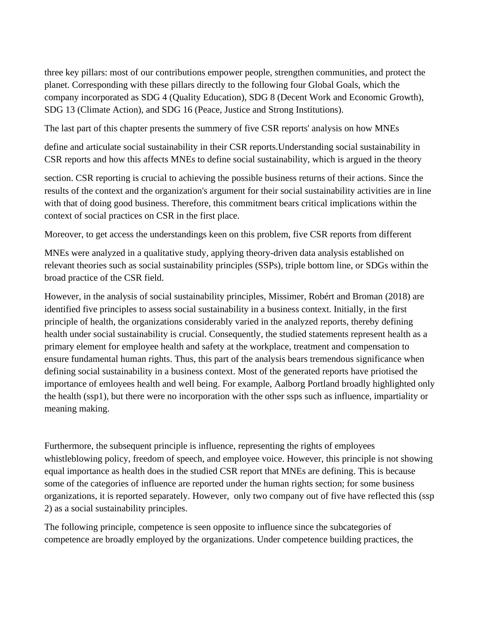three key pillars: most of our contributions empower people, strengthen communities, and protect the planet. Corresponding with these pillars directly to the following four Global Goals, which the company incorporated as SDG 4 (Quality Education), SDG 8 (Decent Work and Economic Growth), SDG 13 (Climate Action), and SDG 16 (Peace, Justice and Strong Institutions).

The last part of this chapter presents the summery of five CSR reports' analysis on how MNEs

define and articulate social sustainability in their CSR reports.Understanding social sustainability in CSR reports and how this affects MNEs to define social sustainability, which is argued in the theory

section. CSR reporting is crucial to achieving the possible business returns of their actions. Since the results of the context and the organization's argument for their social sustainability activities are in line with that of doing good business. Therefore, this commitment bears critical implications within the context of social practices on CSR in the first place.

Moreover, to get access the understandings keen on this problem, five CSR reports from different

MNEs were analyzed in a qualitative study, applying theory-driven data analysis established on relevant theories such as social sustainability principles (SSPs), triple bottom line, or SDGs within the broad practice of the CSR field.

However, in the analysis of social sustainability principles, Missimer, Robért and Broman (2018) are identified five principles to assess social sustainability in a business context. Initially, in the first principle of health, the organizations considerably varied in the analyzed reports, thereby defining health under social sustainability is crucial. Consequently, the studied statements represent health as a primary element for employee health and safety at the workplace, treatment and compensation to ensure fundamental human rights. Thus, this part of the analysis bears tremendous significance when defining social sustainability in a business context. Most of the generated reports have priotised the importance of emloyees health and well being. For example, Aalborg Portland broadly highlighted only the health (ssp1), but there were no incorporation with the other ssps such as influence, impartiality or meaning making.

Furthermore, the subsequent principle is influence, representing the rights of employees whistleblowing policy, freedom of speech, and employee voice. However, this principle is not showing equal importance as health does in the studied CSR report that MNEs are defining. This is because some of the categories of influence are reported under the human rights section; for some business organizations, it is reported separately. However, only two company out of five have reflected this (ssp 2) as a social sustainability principles.

The following principle, competence is seen opposite to influence since the subcategories of competence are broadly employed by the organizations. Under competence building practices, the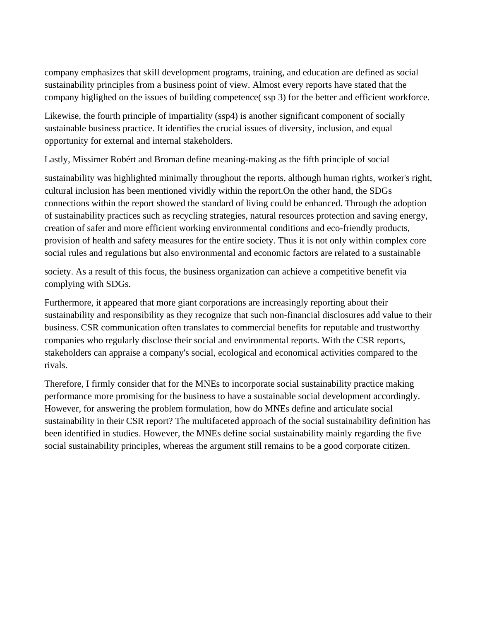company emphasizes that skill development programs, training, and education are defined as social sustainability principles from a business point of view. Almost every reports have stated that the company higlighed on the issues of building competence( ssp 3) for the better and efficient workforce.

Likewise, the fourth principle of impartiality (ssp4) is another significant component of socially sustainable business practice. It identifies the crucial issues of diversity, inclusion, and equal opportunity for external and internal stakeholders.

Lastly, Missimer Robért and Broman define meaning-making as the fifth principle of social

sustainability was highlighted minimally throughout the reports, although human rights, worker's right, cultural inclusion has been mentioned vividly within the report.On the other hand, the SDGs connections within the report showed the standard of living could be enhanced. Through the adoption of sustainability practices such as recycling strategies, natural resources protection and saving energy, creation of safer and more efficient working environmental conditions and eco-friendly products, provision of health and safety measures for the entire society. Thus it is not only within complex core social rules and regulations but also environmental and economic factors are related to a sustainable

society. As a result of this focus, the business organization can achieve a competitive benefit via complying with SDGs.

Furthermore, it appeared that more giant corporations are increasingly reporting about their sustainability and responsibility as they recognize that such non-financial disclosures add value to their business. CSR communication often translates to commercial benefits for reputable and trustworthy companies who regularly disclose their social and environmental reports. With the CSR reports, stakeholders can appraise a company's social, ecological and economical activities compared to the rivals.

Therefore, I firmly consider that for the MNEs to incorporate social sustainability practice making performance more promising for the business to have a sustainable social development accordingly. However, for answering the problem formulation, how do MNEs define and articulate social sustainability in their CSR report? The multifaceted approach of the social sustainability definition has been identified in studies. However, the MNEs define social sustainability mainly regarding the five social sustainability principles, whereas the argument still remains to be a good corporate citizen.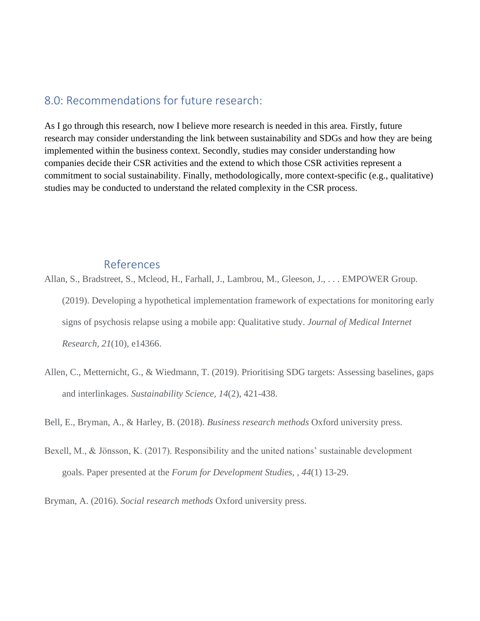## <span id="page-53-0"></span>8.0: Recommendations for future research:

As I go through this research, now I believe more research is needed in this area. Firstly, future research may consider understanding the link between sustainability and SDGs and how they are being implemented within the business context. Secondly, studies may consider understanding how companies decide their CSR activities and the extend to which those CSR activities represent a commitment to social sustainability. Finally, methodologically, more context-specific (e.g., qualitative) studies may be conducted to understand the related complexity in the CSR process.

## <span id="page-53-1"></span>References

- Allan, S., Bradstreet, S., Mcleod, H., Farhall, J., Lambrou, M., Gleeson, J., . . . EMPOWER Group. (2019). Developing a hypothetical implementation framework of expectations for monitoring early signs of psychosis relapse using a mobile app: Qualitative study. *Journal of Medical Internet Research, 21*(10), e14366.
- Allen, C., Metternicht, G., & Wiedmann, T. (2019). Prioritising SDG targets: Assessing baselines, gaps and interlinkages. *Sustainability Science, 14*(2), 421-438.

Bell, E., Bryman, A., & Harley, B. (2018). *Business research methods* Oxford university press.

Bexell, M., & Jönsson, K. (2017). Responsibility and the united nations' sustainable development goals. Paper presented at the *Forum for Development Studies, , 44*(1) 13-29.

Bryman, A. (2016). *Social research methods* Oxford university press.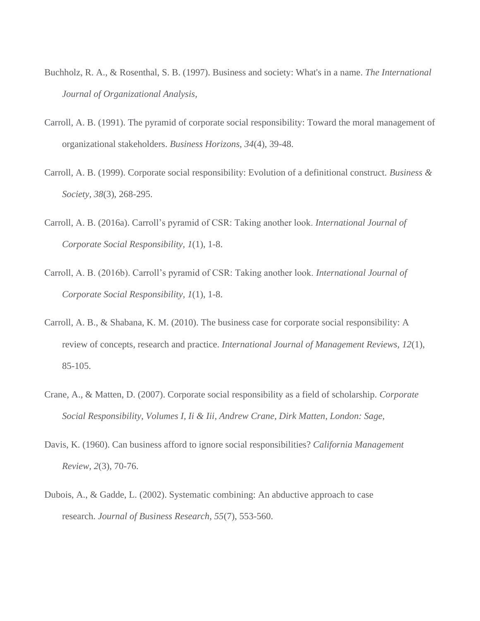- Buchholz, R. A., & Rosenthal, S. B. (1997). Business and society: What's in a name. *The International Journal of Organizational Analysis,*
- Carroll, A. B. (1991). The pyramid of corporate social responsibility: Toward the moral management of organizational stakeholders. *Business Horizons, 34*(4), 39-48.
- Carroll, A. B. (1999). Corporate social responsibility: Evolution of a definitional construct. *Business & Society, 38*(3), 268-295.
- Carroll, A. B. (2016a). Carroll's pyramid of CSR: Taking another look. *International Journal of Corporate Social Responsibility, 1*(1), 1-8.
- Carroll, A. B. (2016b). Carroll's pyramid of CSR: Taking another look. *International Journal of Corporate Social Responsibility, 1*(1), 1-8.
- Carroll, A. B., & Shabana, K. M. (2010). The business case for corporate social responsibility: A review of concepts, research and practice. *International Journal of Management Reviews, 12*(1), 85-105.
- Crane, A., & Matten, D. (2007). Corporate social responsibility as a field of scholarship. *Corporate Social Responsibility, Volumes I, Ii & Iii, Andrew Crane, Dirk Matten, London: Sage,*
- Davis, K. (1960). Can business afford to ignore social responsibilities? *California Management Review, 2*(3), 70-76.
- Dubois, A., & Gadde, L. (2002). Systematic combining: An abductive approach to case research. *Journal of Business Research, 55*(7), 553-560.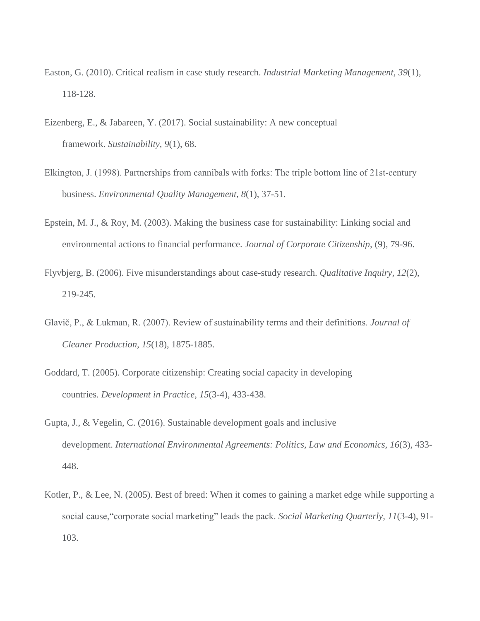- Easton, G. (2010). Critical realism in case study research. *Industrial Marketing Management, 39*(1), 118-128.
- Eizenberg, E., & Jabareen, Y. (2017). Social sustainability: A new conceptual framework. *Sustainability, 9*(1), 68.
- Elkington, J. (1998). Partnerships from cannibals with forks: The triple bottom line of 21st-century business. *Environmental Quality Management, 8*(1), 37-51.
- Epstein, M. J., & Roy, M. (2003). Making the business case for sustainability: Linking social and environmental actions to financial performance. *Journal of Corporate Citizenship,* (9), 79-96.
- Flyvbjerg, B. (2006). Five misunderstandings about case-study research. *Qualitative Inquiry, 12*(2), 219-245.
- Glavič, P., & Lukman, R. (2007). Review of sustainability terms and their definitions. *Journal of Cleaner Production, 15*(18), 1875-1885.
- Goddard, T. (2005). Corporate citizenship: Creating social capacity in developing countries. *Development in Practice, 15*(3-4), 433-438.
- Gupta, J., & Vegelin, C. (2016). Sustainable development goals and inclusive development. *International Environmental Agreements: Politics, Law and Economics, 16*(3), 433- 448.
- Kotler, P., & Lee, N. (2005). Best of breed: When it comes to gaining a market edge while supporting a social cause,"corporate social marketing" leads the pack. *Social Marketing Quarterly, 11*(3-4), 91- 103.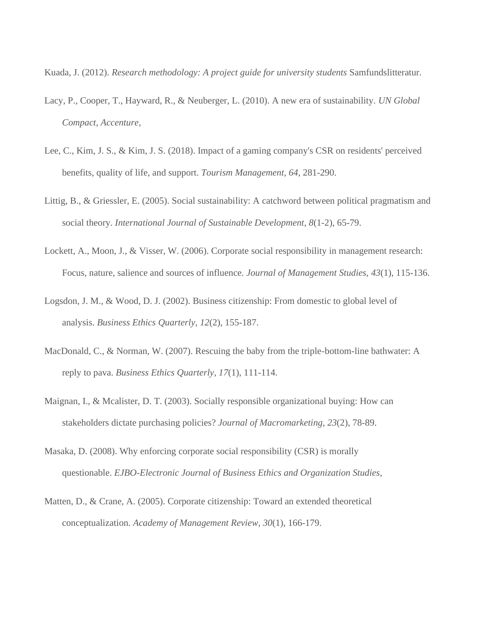Kuada, J. (2012). *Research methodology: A project guide for university students* Samfundslitteratur.

- Lacy, P., Cooper, T., Hayward, R., & Neuberger, L. (2010). A new era of sustainability. *UN Global Compact, Accenture,*
- Lee, C., Kim, J. S., & Kim, J. S. (2018). Impact of a gaming company's CSR on residents' perceived benefits, quality of life, and support. *Tourism Management, 64*, 281-290.
- Littig, B., & Griessler, E. (2005). Social sustainability: A catchword between political pragmatism and social theory. *International Journal of Sustainable Development, 8*(1-2), 65-79.
- Lockett, A., Moon, J., & Visser, W. (2006). Corporate social responsibility in management research: Focus, nature, salience and sources of influence. *Journal of Management Studies, 43*(1), 115-136.
- Logsdon, J. M., & Wood, D. J. (2002). Business citizenship: From domestic to global level of analysis. *Business Ethics Quarterly, 12*(2), 155-187.
- MacDonald, C., & Norman, W. (2007). Rescuing the baby from the triple-bottom-line bathwater: A reply to pava. *Business Ethics Quarterly, 17*(1), 111-114.
- Maignan, I., & Mcalister, D. T. (2003). Socially responsible organizational buying: How can stakeholders dictate purchasing policies? *Journal of Macromarketing, 23*(2), 78-89.
- Masaka, D. (2008). Why enforcing corporate social responsibility (CSR) is morally questionable. *EJBO-Electronic Journal of Business Ethics and Organization Studies,*
- Matten, D., & Crane, A. (2005). Corporate citizenship: Toward an extended theoretical conceptualization. *Academy of Management Review, 30*(1), 166-179.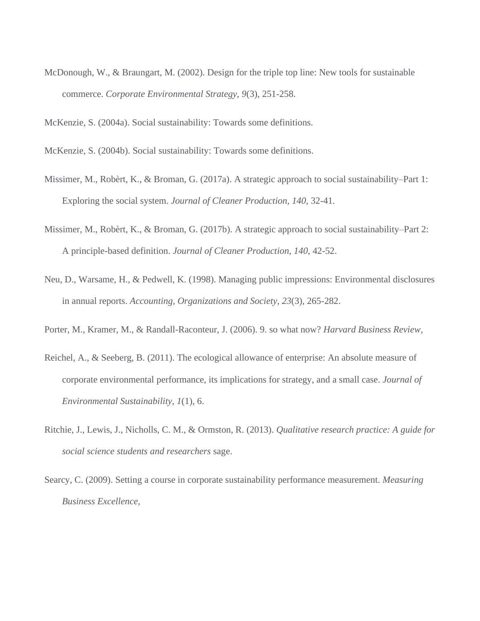McDonough, W., & Braungart, M. (2002). Design for the triple top line: New tools for sustainable commerce. *Corporate Environmental Strategy, 9*(3), 251-258.

McKenzie, S. (2004a). Social sustainability: Towards some definitions.

McKenzie, S. (2004b). Social sustainability: Towards some definitions.

- Missimer, M., Robèrt, K., & Broman, G. (2017a). A strategic approach to social sustainability–Part 1: Exploring the social system. *Journal of Cleaner Production, 140*, 32-41.
- Missimer, M., Robèrt, K., & Broman, G. (2017b). A strategic approach to social sustainability–Part 2: A principle-based definition. *Journal of Cleaner Production, 140*, 42-52.
- Neu, D., Warsame, H., & Pedwell, K. (1998). Managing public impressions: Environmental disclosures in annual reports. *Accounting, Organizations and Society, 23*(3), 265-282.
- Porter, M., Kramer, M., & Randall-Raconteur, J. (2006). 9. so what now? *Harvard Business Review,*
- Reichel, A., & Seeberg, B. (2011). The ecological allowance of enterprise: An absolute measure of corporate environmental performance, its implications for strategy, and a small case. *Journal of Environmental Sustainability, 1*(1), 6.
- Ritchie, J., Lewis, J., Nicholls, C. M., & Ormston, R. (2013). *Qualitative research practice: A guide for social science students and researchers* sage.
- Searcy, C. (2009). Setting a course in corporate sustainability performance measurement. *Measuring Business Excellence,*